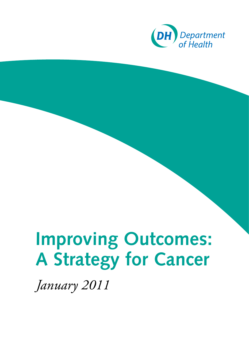

# **Improving Outcomes: A Strategy for Cancer**

*January 2011*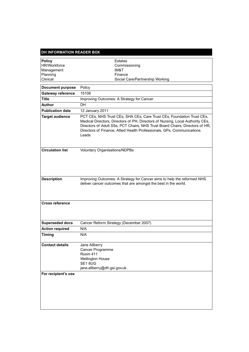| <b>DH INFORMATION READER BOX</b> |                                                                                                                                                                                                                                                                                                                             |  |
|----------------------------------|-----------------------------------------------------------------------------------------------------------------------------------------------------------------------------------------------------------------------------------------------------------------------------------------------------------------------------|--|
|                                  |                                                                                                                                                                                                                                                                                                                             |  |
| <b>Policy</b><br>HR/Workforce    | <b>Estates</b><br>Commissioning                                                                                                                                                                                                                                                                                             |  |
| Management                       | IM&T                                                                                                                                                                                                                                                                                                                        |  |
| Planning                         | Finance                                                                                                                                                                                                                                                                                                                     |  |
| Clinical                         | Social Care/Partnership Working                                                                                                                                                                                                                                                                                             |  |
| <b>Document purpose</b>          | Policy                                                                                                                                                                                                                                                                                                                      |  |
| Gateway reference                | 15108                                                                                                                                                                                                                                                                                                                       |  |
| <b>Title</b>                     | Improving Outcomes: A Strategy for Cancer                                                                                                                                                                                                                                                                                   |  |
| <b>Author</b>                    | DH                                                                                                                                                                                                                                                                                                                          |  |
| <b>Publication date</b>          | 12 January 2011                                                                                                                                                                                                                                                                                                             |  |
| <b>Target audience</b>           | PCT CEs, NHS Trust CEs, SHA CEs, Care Trust CEs, Foundation Trust CEs,<br>Medical Directors, Directors of PH, Directors of Nursing, Local Authority CEs,<br>Directors of Adult SSs, PCT Chairs, NHS Trust Board Chairs, Directors of HR,<br>Directors of Finance, Allied Health Professionals, GPs, Communications<br>Leads |  |
| <b>Circulation list</b>          | Voluntary Organisations/NDPBs                                                                                                                                                                                                                                                                                               |  |
| <b>Description</b>               | Improving Outcomes: A Strategy for Cancer aims to help the reformed NHS<br>deliver cancer outcomes that are amongst the best in the world.                                                                                                                                                                                  |  |
| <b>Cross reference</b>           |                                                                                                                                                                                                                                                                                                                             |  |
| <b>Superseded docs</b>           | Cancer Reform Strategy (December 2007)                                                                                                                                                                                                                                                                                      |  |
| <b>Action required</b>           | N/A                                                                                                                                                                                                                                                                                                                         |  |
| <b>Timing</b>                    | N/A                                                                                                                                                                                                                                                                                                                         |  |
| <b>Contact details</b>           | Jane Allberry<br>Cancer Programme<br><b>Room 411</b><br><b>Wellington House</b><br>SE18UG<br>jane.allberry@dh.gsi.gov.uk                                                                                                                                                                                                    |  |
| For recipient's use              |                                                                                                                                                                                                                                                                                                                             |  |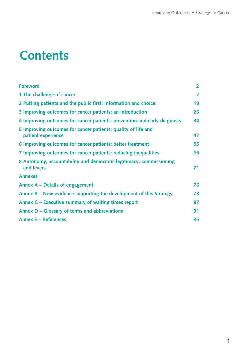# **Contents**

| <b>Foreword</b>                                                                     | $\overline{2}$ |
|-------------------------------------------------------------------------------------|----------------|
| 1 The challenge of cancer                                                           | 7              |
| 2 Putting patients and the public first: information and choice                     |                |
| 3 Improving outcomes for cancer patients: an introduction                           |                |
| 4 Improving outcomes for cancer patients: prevention and early diagnosis            |                |
| 5 Improving outcomes for cancer patients: quality of life and<br>patient experience | 47             |
| 6 Improving outcomes for cancer patients: better treatment                          |                |
| 7 Improving outcomes for cancer patients: reducing inequalities                     |                |
| 8 Autonomy, accountability and democratic legitimacy: commissioning<br>and levers   |                |
| <b>Annexes</b>                                                                      |                |
| Annex A - Details of engagement                                                     |                |
| Annex $B - New$ evidence supporting the development of this Strategy                |                |
| Annex C - Executive summary of waiting times report                                 |                |
| Annex D – Glossary of terms and abbreviations                                       |                |
| <b>Annex E - References</b>                                                         |                |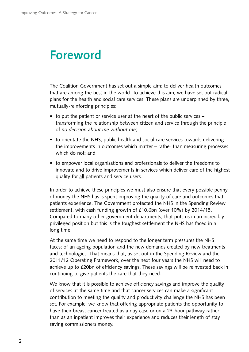## <span id="page-3-0"></span>**Foreword**

The Coalition Government has set out a simple aim: to deliver health outcomes that are among the best in the world. To achieve this aim, we have set out radical plans for the health and social care services. These plans are underpinned by three, mutually-reinforcing principles:

- to put the patient or service user at the heart of the public services transforming the relationship between citizen and service through the principle of *no decision about me without me*;
- to orientate the NHS, public health and social care services towards delivering the improvements in outcomes which matter – rather than measuring processes which do not; and
- to empower local organisations and professionals to deliver the freedoms to innovate and to drive improvements in services which deliver care of the highest quality for all patients and service users.

In order to achieve these principles we must also ensure that every possible penny of money the NHS has is spent improving the quality of care and outcomes that patients experience. The Government protected the NHS in the Spending Review settlement, with cash funding growth of £10.6bn (over 10%) by 2014/15. Compared to many other government departments, that puts us in an incredibly privileged position but this is the toughest settlement the NHS has faced in a long time.

At the same time we need to respond to the longer term pressures the NHS faces; of an ageing population and the new demands created by new treatments and technologies. That means that, as set out in the Spending Review and the 2011/12 Operating Framework, over the next four years the NHS will need to achieve up to £20bn of efficiency savings. These savings will be reinvested back in continuing to give patients the care that they need.

We know that it is possible to achieve efficiency savings and improve the quality of services at the same time and that cancer services can make a significant contribution to meeting the quality and productivity challenge the NHS has been set. For example, we know that offering appropriate patients the opportunity to have their breast cancer treated as a day case or on a 23-hour pathway rather than as an inpatient improves their experience and reduces their length of stay saving commissioners money.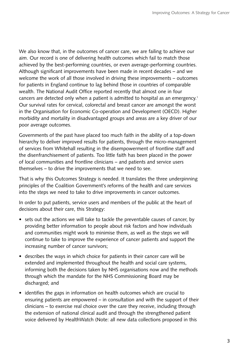We also know that, in the outcomes of cancer care, we are failing to achieve our aim. Our record is one of delivering health outcomes which fail to match those achieved by the best-performing countries, or even average-performing countries. Although significant improvements have been made in recent decades – and we welcome the work of all those involved in driving these improvements – outcomes for patients in England continue to lag behind those in countries of comparable wealth. The National Audit Office reported recently that almost one in four cancers are detected only when a patient is admitted to hospital as an emergency.1 Our survival rates for cervical, colorectal and breast cancer are amongst the worst in the Organisation for Economic Co-operation and Development (OECD). Higher morbidity and mortality in disadvantaged groups and areas are a key driver of our poor average outcomes.

Governments of the past have placed too much faith in the ability of a top-down hierarchy to deliver improved results for patients, through the micro-management of services from Whitehall resulting in the disempowerment of frontline staff and the disenfranchisement of patients. Too little faith has been placed in the power of local communities and frontline clinicians – and patients and service users themselves – to drive the improvements that we need to see.

That is why this Outcomes Strategy is needed. It translates the three underpinning principles of the Coalition Government's reforms of the health and care services into the steps we need to take to drive improvements in cancer outcomes.

In order to put patients, service users and members of the public at the heart of decisions about their care, this Strategy:

- sets out the actions we will take to tackle the preventable causes of cancer, by providing better information to people about risk factors and how individuals and communities might work to minimise them, as well as the steps we will continue to take to improve the experience of cancer patients and support the increasing number of cancer survivors;
- describes the ways in which choice for patients in their cancer care will be extended and implemented throughout the health and social care systems, informing both the decisions taken by NHS organisations now and the methods through which the mandate for the NHS Commissioning Board may be discharged; and
- identifies the gaps in information on health outcomes which are crucial to ensuring patients are empowered – in consultation and with the support of their clinicians – to exercise real choice over the care they receive, including through the extension of national clinical audit and through the strengthened patient voice delivered by HealthWatch (Note: all new data collections proposed in this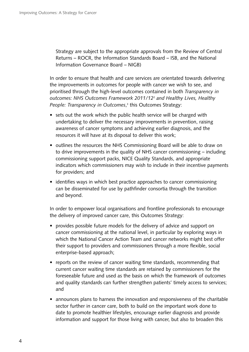Strategy are subject to the appropriate approvals from the Review of Central Returns – ROCR, the Information Standards Board – ISB, and the National Information Governance Board – NIGB)

In order to ensure that health and care services are orientated towards delivering the improvements in outcomes for people with cancer we wish to see, and prioritised through the high-level outcomes contained in both *Transparency in outcomes: NHS Outcomes Framework 2011/12*2 *and Healthy Lives, Healthy People: Transparency in Outcomes*, 3 this Outcomes Strategy:

- sets out the work which the public health service will be charged with undertaking to deliver the necessary improvements in prevention, raising awareness of cancer symptoms and achieving earlier diagnosis, and the resources it will have at its disposal to deliver this work;
- outlines the resources the NHS Commissioning Board will be able to draw on to drive improvements in the quality of NHS cancer commissioning – including commissioning support packs, NICE Quality Standards, and appropriate indicators which commissioners may wish to include in their incentive payments for providers; and
- identifies ways in which best practice approaches to cancer commissioning can be disseminated for use by pathfinder consortia through the transition and beyond.

In order to empower local organisations and frontline professionals to encourage the delivery of improved cancer care, this Outcomes Strategy:

- provides possible future models for the delivery of advice and support on cancer commissioning at the national level, in particular by exploring ways in which the National Cancer Action Team and cancer networks might best offer their support to providers and commissioners through a more flexible, social enterprise-based approach;
- reports on the review of cancer waiting time standards, recommending that current cancer waiting time standards are retained by commissioners for the foreseeable future and used as the basis on which the framework of outcomes and quality standards can further strengthen patients' timely access to services; and
- announces plans to harness the innovation and responsiveness of the charitable sector further in cancer care, both to build on the important work done to date to promote healthier lifestyles, encourage earlier diagnosis and provide information and support for those living with cancer, but also to broaden this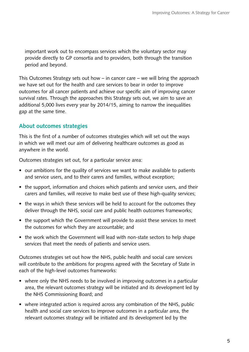important work out to encompass services which the voluntary sector may provide directly to GP consortia and to providers, both through the transition period and beyond.

This Outcomes Strategy sets out how – in cancer care – we will bring the approach we have set out for the health and care services to bear in order to improve outcomes for all cancer patients and achieve our specific aim of improving cancer survival rates. Through the approaches this Strategy sets out, we aim to save an additional 5,000 lives every year by 2014/15, aiming to narrow the inequalities gap at the same time.

#### **About outcomes strategies**

This is the first of a number of outcomes strategies which will set out the ways in which we will meet our aim of delivering healthcare outcomes as good as anywhere in the world.

Outcomes strategies set out, for a particular service area:

- our ambitions for the quality of services we want to make available to patients and service users, and to their carers and families, without exception;
- the support, information and choices which patients and service users, and their carers and families, will receive to make best use of these high-quality services;
- the ways in which these services will be held to account for the outcomes they deliver through the NHS, social care and public health outcomes frameworks;
- the support which the Government will provide to assist these services to meet the outcomes for which they are accountable; and
- the work which the Government will lead with non-state sectors to help shape services that meet the needs of patients and service users.

Outcomes strategies set out how the NHS, public health and social care services will contribute to the ambitions for progress agreed with the Secretary of State in each of the high-level outcomes frameworks:

- where only the NHS needs to be involved in improving outcomes in a particular area, the relevant outcomes strategy will be initiated and its development led by the NHS Commissioning Board; and
- where integrated action is required across any combination of the NHS, public health and social care services to improve outcomes in a particular area, the relevant outcomes strategy will be initiated and its development led by the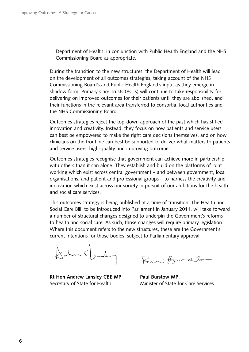Department of Health, in conjunction with Public Health England and the NHS Commissioning Board as appropriate.

During the transition to the new structures, the Department of Health will lead on the development of all outcomes strategies, taking account of the NHS Commissioning Board's and Public Health England's input as they emerge in shadow form. Primary Care Trusts (PCTs) will continue to take responsibility for delivering on improved outcomes for their patients until they are abolished, and their functions in the relevant area transferred to consortia, local authorities and the NHS Commissioning Board.

Outcomes strategies reject the top-down approach of the past which has stifled innovation and creativity. Instead, they focus on how patients and service users can best be empowered to make the right care decisions themselves, and on how clinicians on the frontline can best be supported to deliver what matters to patients and service users: high-quality and improving outcomes.

Outcomes strategies recognise that government can achieve more in partnership with others than it can alone. They establish and build on the platforms of joint working which exist across central government – and between government, local organisations, and patient and professional groups – to harness the creativity and innovation which exist across our society in pursuit of our ambitions for the health and social care services.

This outcomes strategy is being published at a time of transition. The Health and Social Care Bill, to be introduced into Parliament in January 2011, will take forward a number of structural changes designed to underpin the Government's reforms to health and social care. As such, those changes will require primary legislation. Where this document refers to the new structures, these are the Government's current intentions for those bodies, subject to Parliamentary approval.

Salun Sander

 **Rt Hon Andrew Lansley CBE MP** Secretary of State for Health

Rew Burdton

**Paul Burstow MP**  Minister of State for Care Services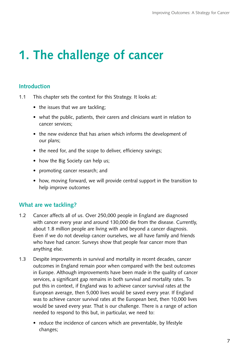# <span id="page-8-0"></span>**1. The challenge of cancer**

#### **Introduction**

- 1.1 This chapter sets the context for this Strategy. It looks at:
	- the issues that we are tackling;
	- what the public, patients, their carers and clinicians want in relation to cancer services;
	- the new evidence that has arisen which informs the development of our plans;
	- the need for, and the scope to deliver, efficiency savings;
	- how the Big Society can help us;
	- promoting cancer research; and
	- how, moving forward, we will provide central support in the transition to help improve outcomes

#### **What are we tackling?**

- 1.2 Cancer affects all of us. Over 250,000 people in England are diagnosed with cancer every year and around 130,000 die from the disease. Currently, about 1.8 million people are living with and beyond a cancer diagnosis. Even if we do not develop cancer ourselves, we all have family and friends who have had cancer. Surveys show that people fear cancer more than anything else.
- 1.3 Despite improvements in survival and mortality in recent decades, cancer outcomes in England remain poor when compared with the best outcomes in Europe. Although improvements have been made in the quality of cancer services, a significant gap remains in both survival and mortality rates. To put this in context, if England was to achieve cancer survival rates at the European average, then 5,000 lives would be saved every year. If England was to achieve cancer survival rates at the European best, then 10,000 lives would be saved every year. That is our challenge. There is a range of action needed to respond to this but, in particular, we need to:
	- reduce the incidence of cancers which are preventable, by lifestyle changes;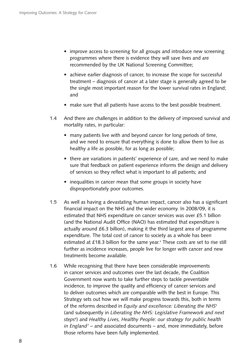- improve access to screening for all groups and introduce new screening programmes where there is evidence they will save lives and are recommended by the UK National Screening Committee;
- achieve earlier diagnosis of cancer, to increase the scope for successful treatment – diagnosis of cancer at a later stage is generally agreed to be the single most important reason for the lower survival rates in England; and
- make sure that all patients have access to the best possible treatment.
- 1.4 And there are challenges in addition to the delivery of improved survival and mortality rates, in particular:
	- many patients live with and beyond cancer for long periods of time, and we need to ensure that everything is done to allow them to live as healthy a life as possible, for as long as possible;
	- there are variations in patients' experience of care, and we need to make sure that feedback on patient experience informs the design and delivery of services so they reflect what is important to all patients; and
	- inequalities in cancer mean that some groups in society have disproportionately poor outcomes.
- 1.5 As well as having a devastating human impact, cancer also has a significant financial impact on the NHS and the wider economy. In 2008/09, it is estimated that NHS expenditure on cancer services was over £5.1 billion (and the National Audit Office (NAO) has estimated that expenditure is actually around £6.3 billion), making it the third largest area of programme expenditure. The total cost of cancer to society as a whole has been estimated at £18.3 billion for the same year.<sup>4</sup> These costs are set to rise still further as incidence increases, people live for longer with cancer and new treatments become available.
- 1.6 While recognising that there have been considerable improvements in cancer services and outcomes over the last decade, the Coalition Government now wants to take further steps to tackle preventable incidence, to improve the quality and efficiency of cancer services and to deliver outcomes which are comparable with the best in Europe. This Strategy sets out how we will make progress towards this, both in terms of the reforms described in *Equity and excellence: Liberating the NHS*<sup>5</sup> (and subsequently in *Liberating the NHS: Legislative Framework and next steps*<sup>6</sup> ) and *Healthy Lives, Healthy People: our strategy for public health in England*7 – and associated documents – and, more immediately, before those reforms have been fully implemented.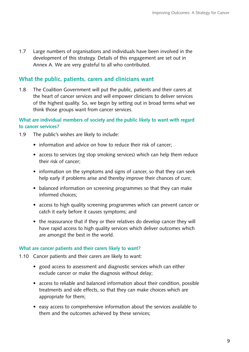1.7 � Large numbers of organisations and individuals have been involved in the development of this strategy. Details of this engagement are set out in Annex A. We are very grateful to all who contributed.

#### **What the public, patients, carers and clinicians want**

1.8 The Coalition Government will put the public, patients and their carers at the heart of cancer services and will empower clinicians to deliver services of the highest quality. So, we begin by setting out in broad terms what we think those groups want from cancer services.

#### **What are individual members of society and the public likely to want with regard to cancer services?**

- 1.9 The public's wishes are likely to include:
	- information and advice on how to reduce their risk of cancer;
	- access to services (eg stop smoking services) which can help them reduce their risk of cancer;
	- information on the symptoms and signs of cancer, so that they can seek help early if problems arise and thereby improve their chances of cure;
	- balanced information on screening programmes so that they can make informed choices;
	- access to high quality screening programmes which can prevent cancer or catch it early before it causes symptoms; and
	- the reassurance that if they or their relatives do develop cancer they will have rapid access to high quality services which deliver outcomes which are amongst the best in the world.

#### **What are cancer patients and their carers likely to want?**

- 1.10 Cancer patients and their carers are likely to want:
	- good access to assessment and diagnostic services which can either exclude cancer or make the diagnosis without delay;
	- access to reliable and balanced information about their condition, possible treatments and side effects, so that they can make choices which are appropriate for them;
	- easy access to comprehensive information about the services available to them and the outcomes achieved by these services;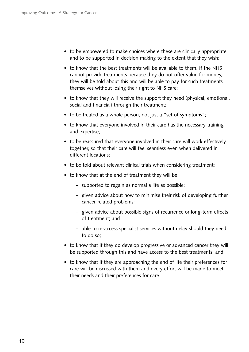- to be empowered to make choices where these are clinically appropriate and to be supported in decision making to the extent that they wish;
- to know that the best treatments will be available to them. If the NHS cannot provide treatments because they do not offer value for money, they will be told about this and will be able to pay for such treatments themselves without losing their right to NHS care;
- to know that they will receive the support they need (physical, emotional, social and financial) through their treatment;
- to be treated as a whole person, not just a "set of symptoms";
- to know that everyone involved in their care has the necessary training and expertise;
- to be reassured that everyone involved in their care will work effectively together, so that their care will feel seamless even when delivered in different locations;
- to be told about relevant clinical trials when considering treatment;
- to know that at the end of treatment they will be:
	- – �supported to regain as normal a life as possible;
	- given advice about how to minimise their risk of developing further cancer-related problems;
	- given advice about possible signs of recurrence or long-term effects of treatment; and
	- able to re-access specialist services without delay should they need to do so;
- to know that if they do develop progressive or advanced cancer they will be supported through this and have access to the best treatments; and
- to know that if they are approaching the end of life their preferences for care will be discussed with them and every effort will be made to meet their needs and their preferences for care.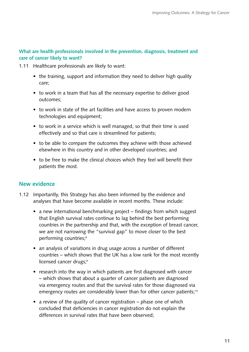#### **What are health professionals involved in the prevention, diagnosis, treatment and care of cancer likely to want?**

- 1.11 Healthcare professionals are likely to want:
	- the training, support and information they need to deliver high quality care;
	- to work in a team that has all the necessary expertise to deliver good outcomes;
	- to work in state of the art facilities and have access to proven modern technologies and equipment;
	- to work in a service which is well managed, so that their time is used effectively and so that care is streamlined for patients;
	- to be able to compare the outcomes they achieve with those achieved elsewhere in this country and in other developed countries; and
	- to be free to make the clinical choices which they feel will benefit their patients the most.

#### **New evidence**

- 1.12 Importantly, this Strategy has also been informed by the evidence and analyses that have become available in recent months. These include:
	- a new international benchmarking project findings from which suggest that English survival rates continue to lag behind the best performing countries in the partnership and that, with the exception of breast cancer, we are not narrowing the "survival gap" to move closer to the best performing countries;<sup>8</sup>
	- an analysis of variations in drug usage across a number of different countries – which shows that the UK has a low rank for the most recently licensed cancer drugs;<sup>9</sup>
	- research into the way in which patients are first diagnosed with cancer – which shows that about a quarter of cancer patients are diagnosed via emergency routes and that the survival rates for those diagnosed via emergency routes are considerably lower than for other cancer patients;<sup>10</sup>
	- a review of the quality of cancer registration phase one of which concluded that deficiencies in cancer registration do not explain the differences in survival rates that have been observed;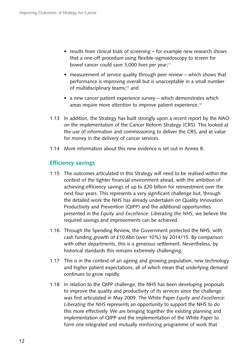- results from clinical trials of screening for example new research shows that a one-off procedure using flexible-sigmoidoscopy to screen for bowel cancer could save 3,000 lives per year;<sup>11</sup>
- measurement of service quality through peer review  $-$  which shows that performance is improving overall but is unacceptable in a small number of multidisciplinary teams;<sup>12</sup> and
- a new cancer patient experience survey which demonstrates which areas require more attention to improve patient experience.<sup>13</sup>
- 1.13 In addition, the Strategy has built strongly upon a recent report by the NAO on the implementation of the Cancer Reform Strategy (CRS). This looked at the use of information and commissioning to deliver the CRS, and at value for money in the delivery of cancer services.
- 1.14 More information about this new evidence is set out in Annex B.

#### **Efficiency savings**

- 1.15 The outcomes articulated in this Strategy will need to be realised within the context of the tighter financial environment ahead, with the ambition of achieving efficiency savings of up to £20 billion for reinvestment over the next four years. This represents a very significant challenge but, through the detailed work the NHS has already undertaken on Quality Innovation Productivity and Prevention (QIPP) and the additional opportunities presented in the *Equity and Excellence: Liberating the NHS*, we believe the required savings and improvements can be achieved.
- 1.16 Through the Spending Review, the Government protected the NHS, with cash funding growth of £10.6bn (over 10%) by 2014/15. By comparison with other departments, this is a generous settlement. Nevertheless, by historical standards this remains extremely challenging.
- 1.17 This is in the context of an ageing and growing population, new technology and higher patient expectations, all of which mean that underlying demand continues to grow rapidly.
- 1.18 In relation to the QIPP challenge, the NHS has been developing proposals to improve the quality and productivity of its services since the challenge was first articulated in May 2009. The White Paper *Equity and Excellence: Liberating the NHS* represents an opportunity to support the NHS to do this more effectively. We are bringing together the existing planning and implementation of QIPP and the implementation of the White Paper to form one integrated and mutually reinforcing programme of work that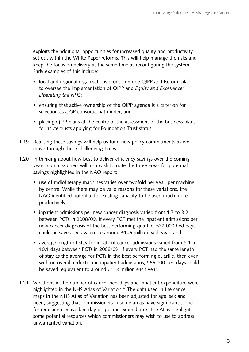exploits the additional opportunities for increased quality and productivity set out within the White Paper reforms. This will help manage the risks and keep the focus on delivery at the same time as reconfiguring the system. Early examples of this include:

- local and regional organisations producing one QIPP and Reform plan to oversee the implementation of QIPP and *Equity and Excellence: Liberating the NHS*;
- ensuring that active ownership of the QIPP agenda is a criterion for selection as a GP consortia pathfinder; and
- placing QIPP plans at the centre of the assessment of the business plans for acute trusts applying for Foundation Trust status.
- 1.19 Realising these savings will help us fund new policy commitments as we move through these challenging times.
- 1.20 In thinking about how best to deliver efficiency savings over the coming years, commissioners will also wish to note the three areas for potential savings highlighted in the NAO report:
	- use of radiotherapy machines varies over twofold per year, per machine, by centre. While there may be valid reasons for these variations, the NAO identified potential for existing capacity to be used much more productively;
	- inpatient admissions per new cancer diagnosis varied from 1.7 to 3.2 between PCTs in 2008/09. If every PCT met the inpatient admissions per new cancer diagnosis of the best performing quartile, 532,000 bed days could be saved, equivalent to around £106 million each year; and
	- average length of stay for inpatient cancer admissions varied from 5.1 to 10.1 days between PCTs in 2008/09. If every PCT had the same length of stay as the average for PCTs in the best performing quartile, then even with no overall reduction in inpatient admissions, 566,000 bed days could be saved, equivalent to around £113 million each year.
- 1.21 Variations in the number of cancer bed-days and inpatient expenditure were highlighted in the NHS Atlas of Variation.<sup>14</sup> The data used in the cancer maps in the NHS Atlas of Variation has been adjusted for age, sex and need, suggesting that commissioners in some areas have significant scope for reducing elective bed day usage and expenditure. The Atlas highlights some potential resources which commissioners may wish to use to address unwarranted variation.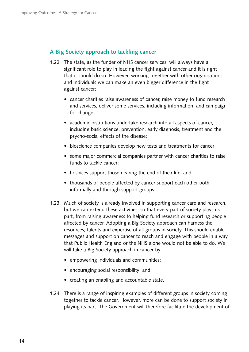#### **A Big Society approach to tackling cancer**

- 1.22 The state, as the funder of NHS cancer services, will always have a significant role to play in leading the fight against cancer and it is right that it should do so. However, working together with other organisations and individuals we can make an even bigger difference in the fight against cancer:
	- cancer charities raise awareness of cancer, raise money to fund research and services, deliver some services, including information, and campaign for change;
	- academic institutions undertake research into all aspects of cancer, including basic science, prevention, early diagnosis, treatment and the psycho-social effects of the disease;
	- bioscience companies develop new tests and treatments for cancer;
	- some major commercial companies partner with cancer charities to raise funds to tackle cancer;
	- hospices support those nearing the end of their life; and
	- thousands of people affected by cancer support each other both informally and through support groups.
- 1.23 Much of society is already involved in supporting cancer care and research, but we can extend these activities, so that every part of society plays its part, from raising awareness to helping fund research or supporting people affected by cancer. Adopting a Big Society approach can harness the resources, talents and expertise of all groups in society. This should enable messages and support on cancer to reach and engage with people in a way that Public Health England or the NHS alone would not be able to do. We will take a Big Society approach in cancer by:
	- empowering individuals and communities;
	- encouraging social responsibility; and
	- creating an enabling and accountable state.
- 1.24 There is a range of inspiring examples of different groups in society coming together to tackle cancer. However, more can be done to support society in playing its part. The Government will therefore facilitate the development of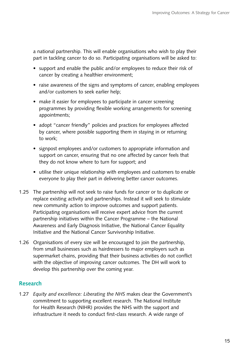a national partnership. This will enable organisations who wish to play their part in tackling cancer to do so. Participating organisations will be asked to:

- support and enable the public and/or employees to reduce their risk of cancer by creating a healthier environment;
- raise awareness of the signs and symptoms of cancer, enabling employees and/or customers to seek earlier help;
- make it easier for employees to participate in cancer screening programmes by providing flexible working arrangements for screening appointments;
- adopt "cancer friendly" policies and practices for employees affected by cancer, where possible supporting them in staying in or returning to work;
- signpost employees and/or customers to appropriate information and support on cancer, ensuring that no one affected by cancer feels that they do not know where to turn for support; and
- utilise their unique relationship with employees and customers to enable everyone to play their part in delivering better cancer outcomes.
- 1.25 The partnership will not seek to raise funds for cancer or to duplicate or replace existing activity and partnerships. Instead it will seek to stimulate new community action to improve outcomes and support patients. Participating organisations will receive expert advice from the current partnership initiatives within the Cancer Programme – the National Awareness and Early Diagnosis Initiative, the National Cancer Equality Initiative and the National Cancer Survivorship Initiative.
- 1.26 � Organisations of every size will be encouraged to join the partnership, from small businesses such as hairdressers to major employers such as supermarket chains, providing that their business activities do not conflict with the objective of improving cancer outcomes. The DH will work to develop this partnership over the coming year.

#### **Research**

1.27 � *Equity and excellence: Liberating the NHS* makes clear the Government's commitment to supporting excellent research. The National Institute for Health Research (NIHR) provides the NHS with the support and infrastructure it needs to conduct first-class research. A wide range of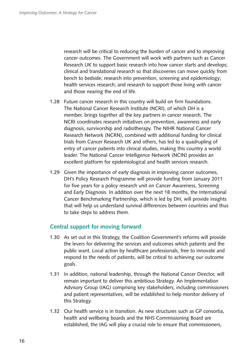research will be critical to reducing the burden of cancer and to improving cancer outcomes. The Government will work with partners such as Cancer Research UK to support basic research into how cancer starts and develops; clinical and translational research so that discoveries can move quickly from bench to bedside; research into prevention, screening and epidemiology; health services research; and research to support those living with cancer and those nearing the end of life.

- 1.28 Future cancer research in this country will build on firm foundations. The National Cancer Research Institute (NCRI), of which DH is a member, brings together all the key partners in cancer research. The NCRI coordinates research initiatives on prevention, awareness and early diagnosis, survivorship and radiotherapy. The NIHR National Cancer Research Network (NCRN), combined with additional funding for clinical trials from Cancer Research UK and others, has led to a quadrupling of entry of cancer patients into clinical studies, making this country a world leader. The National Cancer Intelligence Network (NCIN) provides an excellent platform for epidemiological and health services research.
- 1.29 Given the importance of early diagnosis in improving cancer outcomes, DH's Policy Research Programme will provide funding from January 2011 for five years for a policy research unit on Cancer Awareness, Screening and Early Diagnosis. In addition over the next 18 months, the International Cancer Benchmarking Partnership, which is led by DH, will provide insights that will help us understand survival differences between countries and thus to take steps to address them.

#### **Central support for moving forward**

- 1.30 � As set out in this Strategy, the Coalition Government's reforms will provide the levers for delivering the services and outcomes which patients and the public want. Local action by healthcare professionals, free to innovate and respond to the needs of patients, will be critical to achieving our outcome goals.
- 1.31 In addition, national leadership, through the National Cancer Director, will remain important to deliver this ambitious Strategy. An Implementation Advisory Group (IAG) comprising key stakeholders, including commissioners and patient representatives, will be established to help monitor delivery of this Strategy.
- 1.32 � Our health service is in transition. As new structures such as GP consortia, health and wellbeing boards and the NHS Commissioning Board are established, the IAG will play a crucial role to ensure that commissioners,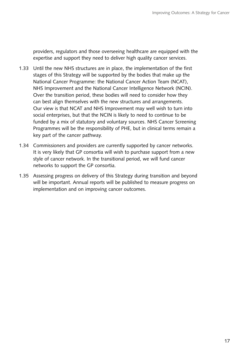providers, regulators and those overseeing healthcare are equipped with the expertise and support they need to deliver high quality cancer services.

- 1.33 � Until the new NHS structures are in place, the implementation of the first stages of this Strategy will be supported by the bodies that make up the National Cancer Programme: the National Cancer Action Team (NCAT), NHS Improvement and the National Cancer Intelligence Network (NCIN). Over the transition period, these bodies will need to consider how they can best align themselves with the new structures and arrangements. Our view is that NCAT and NHS Improvement may well wish to turn into social enterprises, but that the NCIN is likely to need to continue to be funded by a mix of statutory and voluntary sources. NHS Cancer Screening Programmes will be the responsibility of PHE, but in clinical terms remain a key part of the cancer pathway.
- 1.34 Commissioners and providers are currently supported by cancer networks. It is very likely that GP consortia will wish to purchase support from a new style of cancer network. In the transitional period, we will fund cancer networks to support the GP consortia.
- 1.35 � Assessing progress on delivery of this Strategy during transition and beyond will be important. Annual reports will be published to measure progress on implementation and on improving cancer outcomes.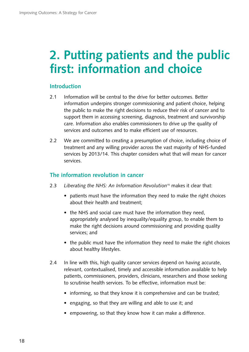# <span id="page-19-0"></span>**2. Putting patients and the public first: information and choice**

#### **Introduction**

- 2.1 Information will be central to the drive for better outcomes. Better information underpins stronger commissioning and patient choice, helping the public to make the right decisions to reduce their risk of cancer and to support them in accessing screening, diagnosis, treatment and survivorship care. Information also enables commissioners to drive up the quality of services and outcomes and to make efficient use of resources.
- 2.2 We are committed to creating a presumption of choice, including choice of treatment and any willing provider across the vast majority of NHS-funded services by 2013/14. This chapter considers what that will mean for cancer services.

#### **The information revolution in cancer**

- 2.3 � *Liberating the NHS: An Information Revolution*15 makes it clear that:
	- patients must have the information they need to make the right choices about their health and treatment;
	- the NHS and social care must have the information they need, appropriately analysed by inequality/equality group, to enable them to make the right decisions around commissioning and providing quality services; and
	- the public must have the information they need to make the right choices about healthy lifestyles.
- 2.4 In line with this, high quality cancer services depend on having accurate, relevant, contextualised, timely and accessible information available to help patients, commissioners, providers, clinicians, researchers and those seeking to scrutinise health services. To be effective, information must be:
	- informing, so that they know it is comprehensive and can be trusted;
	- engaging, so that they are willing and able to use it; and
	- empowering, so that they know how it can make a difference.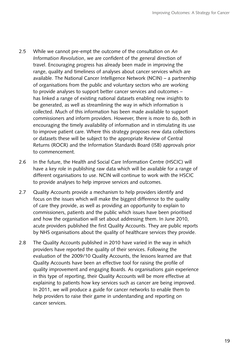- 2.5 While we cannot pre-empt the outcome of the consultation on *An Information Revolution*, we are confident of the general direction of travel. Encouraging progress has already been made in improving the range, quality and timeliness of analyses about cancer services which are available. The National Cancer Intelligence Network (NCIN) – a partnership of organisations from the public and voluntary sectors who are working to provide analyses to support better cancer services and outcomes – has linked a range of existing national datasets enabling new insights to be generated, as well as streamlining the way in which information is collected. Much of this information has been made available to support commissioners and inform providers. However, there is more to do, both in encouraging the timely availability of information and in stimulating its use to improve patient care. Where this strategy proposes new data collections or datasets these will be subject to the appropriate Review of Central Returns (ROCR) and the Information Standards Board (ISB) approvals prior to commencement.
- 2.6 In the future, the Health and Social Care Information Centre (HSCIC) will have a key role in publishing raw data which will be available for a range of different organisations to use. NCIN will continue to work with the HSCIC to provide analyses to help improve services and outcomes.
- 2.7 Quality Accounts provide a mechanism to help providers identify and focus on the issues which will make the biggest difference to the quality of care they provide, as well as providing an opportunity to explain to commissioners, patients and the public which issues have been prioritised and how the organisation will set about addressing them. In June 2010, acute providers published the first Quality Accounts. They are public reports by NHS organisations about the quality of healthcare services they provide.
- 2.8 The Quality Accounts published in 2010 have varied in the way in which providers have reported the quality of their services. Following the evaluation of the 2009/10 Quality Accounts, the lessons learned are that Quality Accounts have been an effective tool for raising the profile of quality improvement and engaging Boards. As organisations gain experience in this type of reporting, their Quality Accounts will be more effective at explaining to patients how key services such as cancer are being improved. In 2011, we will produce a guide for cancer networks to enable them to help providers to raise their game in understanding and reporting on cancer services.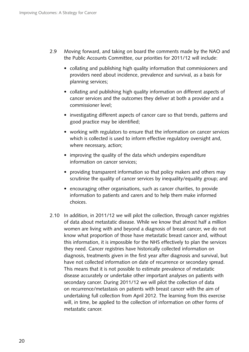- 2.9 Moving forward, and taking on board the comments made by the NAO and the Public Accounts Committee, our priorities for 2011/12 will include:
	- collating and publishing high quality information that commissioners and providers need about incidence, prevalence and survival, as a basis for planning services;
	- collating and publishing high quality information on different aspects of cancer services and the outcomes they deliver at both a provider and a commissioner level;
	- investigating different aspects of cancer care so that trends, patterns and good practice may be identified;
	- working with regulators to ensure that the information on cancer services which is collected is used to inform effective regulatory oversight and, where necessary, action;
	- improving the quality of the data which underpins expenditure information on cancer services;
	- providing transparent information so that policy makers and others may scrutinise the quality of cancer services by inequality/equality group; and
	- encouraging other organisations, such as cancer charities, to provide information to patients and carers and to help them make informed choices.
- 2.10 In addition, in 2011/12 we will pilot the collection, through cancer registries of data about metastatic disease. While we know that almost half a million women are living with and beyond a diagnosis of breast cancer, we do not know what proportion of those have metastatic breast cancer and, without this information, it is impossible for the NHS effectively to plan the services they need. Cancer registries have historically collected information on diagnosis, treatments given in the first year after diagnosis and survival, but have not collected information on date of recurrence or secondary spread. This means that it is not possible to estimate prevalence of metastatic disease accurately or undertake other important analyses on patients with secondary cancer. During 2011/12 we will pilot the collection of data on recurrence/metastasis on patients with breast cancer with the aim of undertaking full collection from April 2012. The learning from this exercise will, in time, be applied to the collection of information on other forms of metastatic cancer.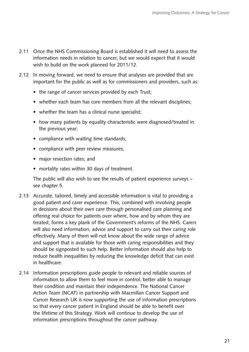- 2.11 Once the NHS Commissioning Board is established it will need to assess the information needs in relation to cancer, but we would expect that it would wish to build on the work planned for 2011/12.
- 2.12 In moving forward, we need to ensure that analyses are provided that are important for the public as well as for commissioners and providers, such as:
	- the range of cancer services provided by each Trust;
	- whether each team has core members from all the relevant disciplines;
	- whether the team has a clinical nurse specialist;
	- how many patients by equality characteristic were diagnosed/treated in the previous year;
	- compliance with waiting time standards;
	- compliance with peer review measures;
	- major resection rates; and
	- mortality rates within 30 days of treatment.

The public will also wish to see the results of patient experience surveys – see chapter 5.

- 2.13 Accurate, tailored, timely and accessible information is vital to providing a good patient and carer experience. This, combined with involving people in decisions about their own care through personalised care planning and offering real choice for patients over where, how and by whom they are treated, forms a key plank of the Government's reforms of the NHS. Carers will also need information, advice and support to carry out their caring role effectively. Many of them will not know about the wide range of advice and support that is available for those with caring responsibilities and they should be signposted to such help. Better information should also help to reduce health inequalities by reducing the knowledge deficit that can exist in healthcare.
- 2.14 Information prescriptions guide people to relevant and reliable sources of information to allow them to feel more in control, better able to manage their condition and maintain their independence. The National Cancer Action Team (NCAT) in partnership with Macmillan Cancer Support and Cancer Research UK is now supporting the use of information prescriptions so that every cancer patient in England should be able to benefit over the lifetime of this Strategy. Work will continue to develop the use of information prescriptions throughout the cancer pathway.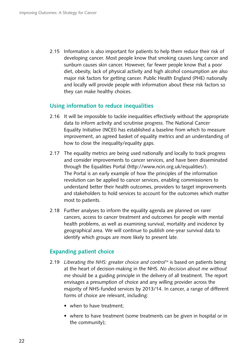2.15 Information is also important for patients to help them reduce their risk of developing cancer. Most people know that smoking causes lung cancer and sunburn causes skin cancer. However, far fewer people know that a poor diet, obesity, lack of physical activity and high alcohol consumption are also major risk factors for getting cancer. Public Health England (PHE) nationally and locally will provide people with information about these risk factors so they can make healthy choices.

#### **Using information to reduce inequalities**

- 2.16 It will be impossible to tackle inequalities effectively without the appropriate data to inform activity and scrutinise progress. The National Cancer Equality Initiative (NCEI) has established a baseline from which to measure improvement, an agreed basket of equality metrics and an understanding of how to close the inequality/equality gaps.
- 2.17 The equality metrics are being used nationally and locally to track progress and consider improvements to cancer services, and have been disseminated through the Equalities Portal (http://www.ncin.org.uk/equalities/). The Portal is an early example of how the principles of the information revolution can be applied to cancer services, enabling commissioners to understand better their health outcomes, providers to target improvements and stakeholders to hold services to account for the outcomes which matter most to patients.
- 2.18 Further analyses to inform the equality agenda are planned on rarer cancers, access to cancer treatment and outcomes for people with mental health problems, as well as examining survival, mortality and incidence by geographical area. We will continue to publish one-year survival data to identify which groups are more likely to present late.

#### **Expanding patient choice**

- 2.19 Liberating the NHS: greater choice and control<sup>16</sup> is based on patients being at the heart of decision-making in the NHS. *No decision about me without me* should be a guiding principle in the delivery of all treatment. The report envisages a presumption of choice and any willing provider across the majority of NHS-funded services by 2013/14. In cancer, a range of different forms of choice are relevant, including:
	- when to have treatment;
	- where to have treatment (some treatments can be given in hospital or in the community);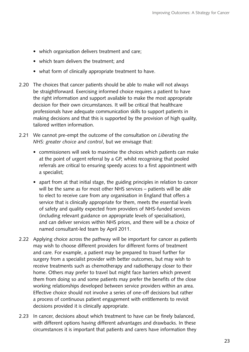- which organisation delivers treatment and care;
- which team delivers the treatment: and
- what form of clinically appropriate treatment to have.
- 2.20 The choices that cancer patients should be able to make will not always be straightforward. Exercising informed choice requires a patient to have the right information and support available to make the most appropriate decision for their own circumstances. It will be critical that healthcare professionals have adequate communication skills to support patients in making decisions and that this is supported by the provision of high quality, tailored written information.
- 2.21 � We cannot pre-empt the outcome of the consultation on *Liberating the NHS: greater choice and control*, but we envisage that:
	- commissioners will seek to maximise the choices which patients can make at the point of urgent referral by a GP, whilst recognising that pooled referrals are critical to ensuring speedy access to a first appointment with a specialist;
	- apart from at that initial stage, the guiding principles in relation to cancer will be the same as for most other NHS services – patients will be able to elect to receive care from any organisation in England that offers a service that is clinically appropriate for them, meets the essential levels of safety and quality expected from providers of NHS-funded services (including relevant guidance on appropriate levels of specialisation), and can deliver services within NHS prices, and there will be a choice of named consultant-led team by April 2011.
- 2.22 Applying choice across the pathway will be important for cancer as patients may wish to choose different providers for different forms of treatment and care. For example, a patient may be prepared to travel further for surgery from a specialist provider with better outcomes, but may wish to receive treatments such as chemotherapy and radiotherapy closer to their home. Others may prefer to travel but might face barriers which prevent them from doing so and some patients may prefer the benefits of the close working relationships developed between service providers within an area. Effective choice should not involve a series of one-off decisions but rather a process of continuous patient engagement with entitlements to revisit decisions provided it is clinically appropriate.
- 2.23 In cancer, decisions about which treatment to have can be finely balanced, with different options having different advantages and drawbacks. In these circumstances it is important that patients and carers have information they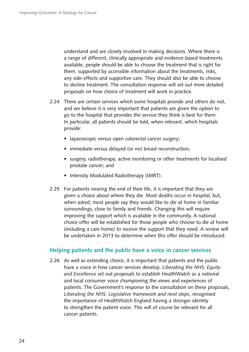understand and are closely involved in making decisions. Where there is a range of different, clinically appropriate and evidence-based treatments available, people should be able to choose the treatment that is right for them, supported by accessible information about the treatments, risks, any side-effects and supportive care. They should also be able to choose to decline treatment. The consultation response will set out more detailed proposals on how choice of treatment will work in practice.

- 2.24 There are certain services which some hospitals provide and others do not, and we believe it is very important that patients are given the option to go to the hospital that provides the service they think is best for them. In particular, all patients should be told, when relevant, which hospitals provide:
	- laparoscopic versus open colorectal cancer surgery;
	- immediate versus delayed (or no) breast reconstruction;
	- surgery, radiotherapy, active monitoring or other treatments for localised prostate cancer; and
	- Intensity Modulated Radiotherapy (IMRT).
- 2.25 For patients nearing the end of their life, it is important that they are given a choice about where they die. Most deaths occur in hospital, but, when asked, most people say they would like to die at home in familiar surroundings, close to family and friends. Changing this will require improving the support which is available in the community. A national choice offer will be established for those people who choose to die at home (including a care home) to receive the support that they need. A review will be undertaken in 2013 to determine when this offer should be introduced.

#### **Helping patients and the public have a voice in cancer services**

2.26 As well as extending choice, it is important that patients and the public have a voice in how cancer services develop. *Liberating the NHS: Equity and Excellence* set out proposals to establish HealthWatch as a national and local consumer voice championing the views and experiences of patients. The Government's response to the consultation on these proposals, *Liberating the NHS: Legislative framework and next steps*, recognised the importance of HealthWatch England having a stronger identity to strengthen the patient voice. This will of course be relevant for all cancer patients.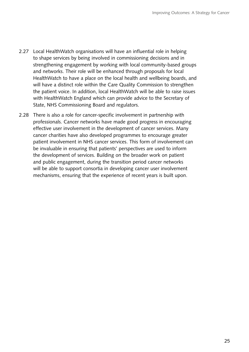- 2.27 Local HealthWatch organisations will have an influential role in helping to shape services by being involved in commissioning decisions and in strengthening engagement by working with local community-based groups and networks. Their role will be enhanced through proposals for local HealthWatch to have a place on the local health and wellbeing boards, and will have a distinct role within the Care Quality Commission to strengthen the patient voice. In addition, local HealthWatch will be able to raise issues with HealthWatch England which can provide advice to the Secretary of State, NHS Commissioning Board and regulators.
- 2.28 There is also a role for cancer-specific involvement in partnership with professionals. Cancer networks have made good progress in encouraging effective user involvement in the development of cancer services. Many cancer charities have also developed programmes to encourage greater patient involvement in NHS cancer services. This form of involvement can be invaluable in ensuring that patients' perspectives are used to inform the development of services. Building on the broader work on patient and public engagement, during the transition period cancer networks will be able to support consortia in developing cancer user involvement mechanisms, ensuring that the experience of recent years is built upon.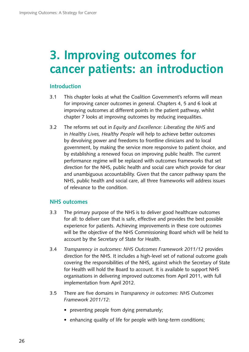# <span id="page-27-0"></span>**3. Improving outcomes for cancer patients: an introduction**

#### **Introduction**

- 3.1 This chapter looks at what the Coalition Government's reforms will mean for improving cancer outcomes in general. Chapters 4, 5 and 6 look at improving outcomes at different points in the patient pathway, whilst chapter 7 looks at improving outcomes by reducing inequalities.
- 3.2 � The reforms set out in *Equity and Excellence: Liberating the NHS* and in *Healthy Lives, Healthy People* will help to achieve better outcomes by devolving power and freedoms to frontline clinicians and to local government, by making the service more responsive to patient choice, and by establishing a renewed focus on improving public health. The current performance regime will be replaced with outcomes frameworks that set direction for the NHS, public health and social care which provide for clear and unambiguous accountability. Given that the cancer pathway spans the NHS, public health and social care, all three frameworks will address issues of relevance to the condition.

#### **NHS outcomes**

- 3.3 The primary purpose of the NHS is to deliver good healthcare outcomes for all: to deliver care that is safe, effective and provides the best possible experience for patients. Achieving improvements in these core outcomes will be the objective of the NHS Commissioning Board which will be held to account by the Secretary of State for Health.
- 3.4 � *Transparency in outcomes: NHS Outcomes Framework 2011/12* provides direction for the NHS. It includes a high-level set of national outcome goals covering the responsibilities of the NHS, against which the Secretary of State for Health will hold the Board to account. It is available to support NHS organisations in delivering improved outcomes from April 2011, with full implementation from April 2012.
- 3.5 � There are five domains in *Transparency in outcomes: NHS Outcomes Framework 2011/12*:
	- preventing people from dying prematurely;
	- enhancing quality of life for people with long-term conditions;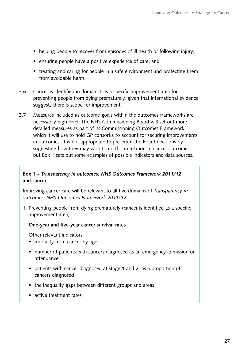- helping people to recover from episodes of ill health or following injury;
- ensuring people have a positive experience of care; and
- treating and caring for people in a safe environment and protecting them from avoidable harm.
- 3.6 � Cancer is identified in domain 1 as a specific improvement area for preventing people from dying prematurely, given that international evidence suggests there is scope for improvement.
- 3.7 Measures included as outcome goals within the outcomes frameworks are necessarily high level. The NHS Commissioning Board will set out more detailed measures as part of its Commissioning Outcomes Framework, which it will use to hold GP consortia to account for securing improvements in outcomes. It is not appropriate to pre-empt the Board decisions by suggesting how they may wish to do this in relation to cancer outcomes, but Box 1 sets out some examples of possible indicators and data sources.

#### **Box 1 – Transparency in outcomes: NHS Outcomes Framework 2011/12 and cancer**

Improving cancer care will be relevant to all five domains of *Transparency in outcomes: NHS Outcomes Framework 2011/12*:

1. Preventing people from dying prematurely (cancer is identified as a specific improvement area)

#### **One-year and five-year cancer survival rates**

Other relevant indicators:

- mortality from cancer by age
- number of patients with cancers diagnosed as an emergency admission or attendance
- patients with cancer diagnosed at stage 1 and 2, as a proportion of cancers diagnosed
- the inequality gaps between different groups and areas
- active treatment rates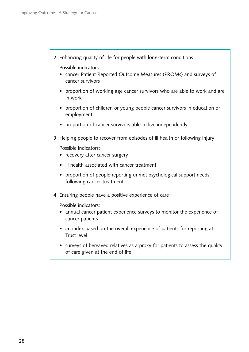2. Enhancing quality of life for people with long-term conditions

Possible indicators:

- cancer Patient Reported Outcome Measures (PROMs) and surveys of cancer survivors
- proportion of working age cancer survivors who are able to work and are in work
- proportion of children or young people cancer survivors in education or employment
- proportion of cancer survivors able to live independently
- 3. Helping people to recover from episodes of ill health or following injury

Possible indicators:

- recovery after cancer surgery
- ill health associated with cancer treatment
- proportion of people reporting unmet psychological support needs following cancer treatment
- 4. Ensuring people have a positive experience of care

Possible indicators:

- annual cancer patient experience surveys to monitor the experience of cancer patients
- an index based on the overall experience of patients for reporting at Trust level
- surveys of bereaved relatives as a proxy for patients to assess the quality of care given at the end of life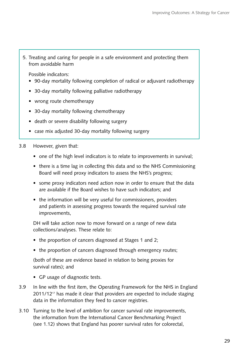5. Treating and caring for people in a safe environment and protecting them from avoidable harm

Possible indicators:

- 90-day mortality following completion of radical or adjuvant radiotherapy
- 30-day mortality following palliative radiotherapy
- wrong route chemotherapy
- 30-day mortality following chemotherapy
- death or severe disability following surgery
- case mix adjusted 30-day mortality following surgery
- 3.8 However, given that:
	- one of the high level indicators is to relate to improvements in survival;
	- there is a time lag in collecting this data and so the NHS Commissioning Board will need proxy indicators to assess the NHS's progress;
	- some proxy indicators need action now in order to ensure that the data are available if the Board wishes to have such indicators; and
	- the information will be very useful for commissioners, providers and patients in assessing progress towards the required survival rate improvements,

DH will take action now to move forward on a range of new data collections/analyses. These relate to:

- the proportion of cancers diagnosed at Stages 1 and 2;
- the proportion of cancers diagnosed through emergency routes;

(both of these are evidence based in relation to being proxies for survival rates); and

- GP usage of diagnostic tests.
- 3.9 In line with the first item, the Operating Framework for the NHS in England  $2011/12<sup>17</sup>$  has made it clear that providers are expected to include staging data in the information they feed to cancer registries.
- 3.10 Turning to the level of ambition for cancer survival rate improvements, the information from the International Cancer Benchmarking Project (see 1.12) shows that England has poorer survival rates for colorectal,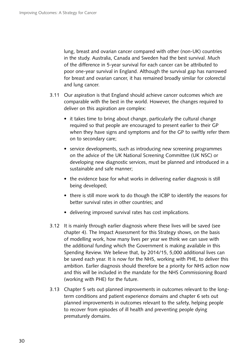lung, breast and ovarian cancer compared with other (non-UK) countries in the study. Australia, Canada and Sweden had the best survival. Much of the difference in 5-year survival for each cancer can be attributed to poor one-year survival in England. Although the survival gap has narrowed for breast and ovarian cancer, it has remained broadly similar for colorectal and lung cancer.

- 3.11 Our aspiration is that England should achieve cancer outcomes which are comparable with the best in the world. However, the changes required to deliver on this aspiration are complex:
	- it takes time to bring about change, particularly the cultural change required so that people are encouraged to present earlier to their GP when they have signs and symptoms and for the GP to swiftly refer them on to secondary care;
	- service developments, such as introducing new screening programmes on the advice of the UK National Screening Committee (UK NSC) or developing new diagnostic services, must be planned and introduced in a sustainable and safe manner;
	- the evidence base for what works in delivering earlier diagnosis is still being developed;
	- there is still more work to do though the ICBP to identify the reasons for better survival rates in other countries; and
	- delivering improved survival rates has cost implications.
- 3.12 It is mainly through earlier diagnosis where these lives will be saved (see chapter 4). The Impact Assessment for this Strategy shows, on the basis of modelling work, how many lives per year we think we can save with the additional funding which the Government is making available in this Spending Review. We believe that, by 2014/15, 5,000 additional lives can be saved each year. It is now for the NHS, working with PHE, to deliver this ambition. Earlier diagnosis should therefore be a priority for NHS action now and this will be included in the mandate for the NHS Commissioning Board (working with PHE) for the future.
- 3.13 Chapter 5 sets out planned improvements in outcomes relevant to the longterm conditions and patient experience domains and chapter 6 sets out planned improvements in outcomes relevant to the safety, helping people to recover from episodes of ill health and preventing people dying prematurely domains.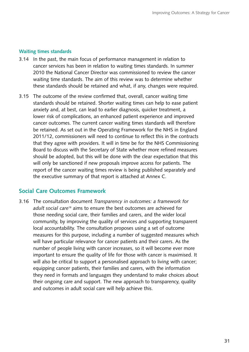#### **Waiting times standards**

- 3.14 In the past, the main focus of performance management in relation to cancer services has been in relation to waiting times standards. In summer 2010 the National Cancer Director was commissioned to review the cancer waiting time standards. The aim of this review was to determine whether these standards should be retained and what, if any, changes were required.
- 3.15 The outcome of the review confirmed that, overall, cancer waiting time standards should be retained. Shorter waiting times can help to ease patient anxiety and, at best, can lead to earlier diagnosis, quicker treatment, a lower risk of complications, an enhanced patient experience and improved cancer outcomes. The current cancer waiting times standards will therefore be retained. As set out in the Operating Framework for the NHS in England 2011/12, commissioners will need to continue to reflect this in the contracts that they agree with providers. It will in time be for the NHS Commissioning Board to discuss with the Secretary of State whether more refined measures should be adopted, but this will be done with the clear expectation that this will only be sanctioned if new proposals improve access for patients. The report of the cancer waiting times review is being published separately and the executive summary of that report is attached at Annex C.

#### **Social Care Outcomes Framework**

3.16 � The consultation document *Transparency in outcomes: a framework for adult social care*18 aims to ensure the best outcomes are achieved for those needing social care, their families and carers, and the wider local community, by improving the quality of services and supporting transparent local accountability. The consultation proposes using a set of outcome measures for this purpose, including a number of suggested measures which will have particular relevance for cancer patients and their carers. As the number of people living with cancer increases, so it will become ever more important to ensure the quality of life for those with cancer is maximised. It will also be critical to support a personalised approach to living with cancer; equipping cancer patients, their families and carers, with the information they need in formats and languages they understand to make choices about their ongoing care and support. The new approach to transparency, quality and outcomes in adult social care will help achieve this.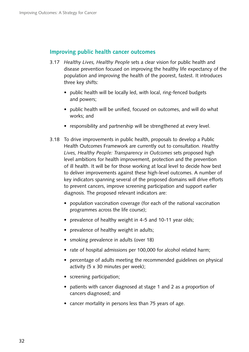#### **Improving public health cancer outcomes**

- 3.17 � *Healthy Lives, Healthy People* sets a clear vision for public health and disease prevention focused on improving the healthy life expectancy of the population and improving the health of the poorest, fastest. It introduces three key shifts:
	- public health will be locally led, with local, ring-fenced budgets and powers;
	- public health will be unified, focused on outcomes, and will do what works; and
	- responsibility and partnership will be strengthened at every level.
- 3.18 To drive improvements in public health, proposals to develop a Public Health Outcomes Framework are currently out to consultation. *Healthy Lives, Healthy People: Transparency in Outcomes* sets proposed high level ambitions for health improvement, protection and the prevention of ill health. It will be for those working at local level to decide how best to deliver improvements against these high-level outcomes. A number of key indicators spanning several of the proposed domains will drive efforts to prevent cancers, improve screening participation and support earlier diagnosis. The proposed relevant indicators are:
	- population vaccination coverage (for each of the national vaccination programmes across the life course);
	- prevalence of healthy weight in 4-5 and 10-11 year olds;
	- prevalence of healthy weight in adults;
	- smoking prevalence in adults (over 18)
	- rate of hospital admissions per 100,000 for alcohol related harm;
	- percentage of adults meeting the recommended guidelines on physical activity (5 x 30 minutes per week);
	- screening participation:
	- patients with cancer diagnosed at stage 1 and 2 as a proportion of cancers diagnosed; and
	- cancer mortality in persons less than 75 years of age.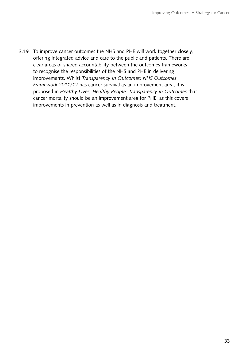3.19 To improve cancer outcomes the NHS and PHE will work together closely, offering integrated advice and care to the public and patients. There are clear areas of shared accountability between the outcomes frameworks to recognise the responsibilities of the NHS and PHE in delivering improvements. Whilst *Transparency in Outcomes: NHS Outcomes Framework 2011/12* has cancer survival as an improvement area, it is proposed in *Healthy Lives, Healthy People: Transparency in Outcomes* that cancer mortality should be an improvement area for PHE, as this covers improvements in prevention as well as in diagnosis and treatment.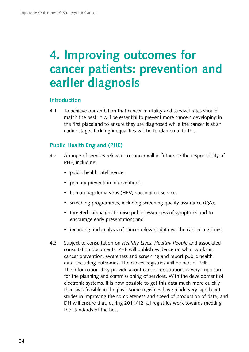# <span id="page-35-0"></span>**4. Improving outcomes for cancer patients: prevention and earlier diagnosis**

#### **Introduction**

4.1 To achieve our ambition that cancer mortality and survival rates should match the best, it will be essential to prevent more cancers developing in the first place and to ensure they are diagnosed while the cancer is at an earlier stage. Tackling inequalities will be fundamental to this.

#### **Public Health England (PHE)**

- 4.2 A range of services relevant to cancer will in future be the responsibility of PHE, including:
	- public health intelligence;
	- primary prevention interventions;
	- human papilloma virus (HPV) vaccination services;
	- screening programmes, including screening quality assurance (QA);
	- targeted campaigns to raise public awareness of symptoms and to encourage early presentation; and
	- recording and analysis of cancer-relevant data via the cancer registries.
- 4.3 � Subject to consultation on *Healthy Lives, Healthy People* and associated consultation documents, PHE will publish evidence on what works in cancer prevention, awareness and screening and report public health data, including outcomes. The cancer registries will be part of PHE. The information they provide about cancer registrations is very important for the planning and commissioning of services. With the development of electronic systems, it is now possible to get this data much more quickly than was feasible in the past. Some registries have made very significant strides in improving the completeness and speed of production of data, and DH will ensure that, during 2011/12, all registries work towards meeting the standards of the best.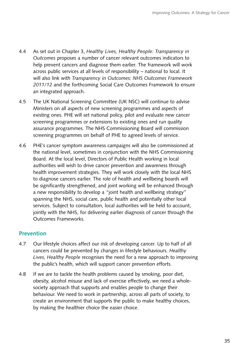- 4.4 � As set out in Chapter 3, *Healthy Lives, Healthy People: Transparency in Outcomes* proposes a number of cancer relevant outcomes indicators to help prevent cancers and diagnose them earlier. The framework will work across public services at all levels of responsibility – national to local. It will also link with *Transparency in Outcomes: NHS Outcomes Framework 2011/12* and the forthcoming Social Care Outcomes Framework to ensure an integrated approach.
- 4.5 The UK National Screening Committee (UK NSC) will continue to advise Ministers on all aspects of new screening programmes and aspects of existing ones. PHE will set national policy, pilot and evaluate new cancer screening programmes or extensions to existing ones and run quality assurance programmes. The NHS Commissioning Board will commission screening programmes on behalf of PHE to agreed levels of service.
- 4.6 PHE's cancer symptom awareness campaigns will also be commissioned at the national level, sometimes in conjunction with the NHS Commissioning Board. At the local level, Directors of Public Health working in local authorities will wish to drive cancer prevention and awareness through health improvement strategies. They will work closely with the local NHS to diagnose cancers earlier. The role of health and wellbeing boards will be significantly strengthened, and joint working will be enhanced through a new responsibility to develop a "joint health and wellbeing strategy" spanning the NHS, social care, public health and potentially other local services. Subject to consultation, local authorities will be held to account, jointly with the NHS, for delivering earlier diagnosis of cancer through the Outcomes Frameworks.

# **Prevention**

- 4.7 Our lifestyle choices affect our risk of developing cancer. Up to half of all cancers could be prevented by changes in lifestyle behaviours. *Healthy Lives, Healthy People* recognises the need for a new approach to improving the public's health, which will support cancer prevention efforts.
- 4.8 If we are to tackle the health problems caused by smoking, poor diet, obesity, alcohol misuse and lack of exercise effectively, we need a wholesociety approach that supports and enables people to change their behaviour. We need to work in partnership, across all parts of society, to create an environment that supports the public to make healthy choices, by making the healthier choice the easier choice.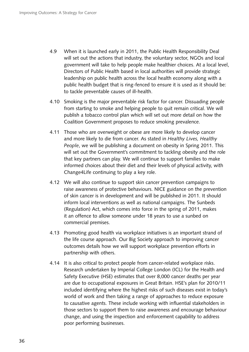- 4.9 When it is launched early in 2011, the Public Health Responsibility Deal will set out the actions that industry, the voluntary sector, NGOs and local government will take to help people make healthier choices. At a local level, Directors of Public Health based in local authorities will provide strategic leadership on public health across the local health economy along with a public health budget that is ring-fenced to ensure it is used as it should be: to tackle preventable causes of ill-health.
- 4.10 Smoking is the major preventable risk factor for cancer. Dissuading people from starting to smoke and helping people to quit remain critical. We will publish a tobacco control plan which will set out more detail on how the Coalition Government proposes to reduce smoking prevalence.
- 4.11 Those who are overweight or obese are more likely to develop cancer and more likely to die from cancer. As stated in *Healthy Lives, Healthy People*, we will be publishing a document on obesity in Spring 2011. This will set out the Government's commitment to tackling obesity and the role that key partners can play. We will continue to support families to make informed choices about their diet and their levels of physical activity, with Change4Life continuing to play a key role.
- 4.12 We will also continue to support skin cancer prevention campaigns to raise awareness of protective behaviours. NICE guidance on the prevention of skin cancer is in development and will be published in 2011. It should inform local interventions as well as national campaigns. The Sunbeds (Regulation) Act, which comes into force in the spring of 2011, makes it an offence to allow someone under 18 years to use a sunbed on commercial premises.
- 4.13 Promoting good health via workplace initiatives is an important strand of the life course approach. Our Big Society approach to improving cancer outcomes details how we will support workplace prevention efforts in partnership with others.
- 4.14 It is also critical to protect people from cancer-related workplace risks. Research undertaken by Imperial College London (ICL) for the Health and Safety Executive (HSE) estimates that over 8,000 cancer deaths per year are due to occupational exposures in Great Britain. HSE's plan for 2010/11 included identifying where the highest risks of such diseases exist in today's world of work and then taking a range of approaches to reduce exposure to causative agents. These include working with influential stakeholders in those sectors to support them to raise awareness and encourage behaviour change, and using the inspection and enforcement capability to address poor performing businesses.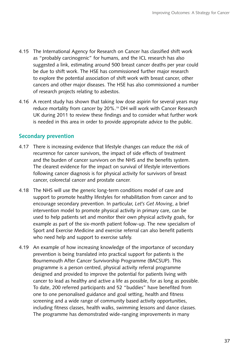- 4.15 The International Agency for Research on Cancer has classified shift work as "probably carcinogenic" for humans, and the ICL research has also suggested a link, estimating around 500 breast cancer deaths per year could be due to shift work. The HSE has commissioned further major research to explore the potential association of shift work with breast cancer, other cancers and other major diseases. The HSE has also commissioned a number of research projects relating to asbestos.
- 4.16 A recent study has shown that taking low dose aspirin for several years may reduce mortality from cancer by 20%.19 DH will work with Cancer Research UK during 2011 to review these findings and to consider what further work is needed in this area in order to provide appropriate advice to the public.

## **Secondary prevention**

- 4.17 There is increasing evidence that lifestyle changes can reduce the risk of recurrence for cancer survivors, the impact of side effects of treatment and the burden of cancer survivors on the NHS and the benefits system. The clearest evidence for the impact on survival of lifestyle interventions following cancer diagnosis is for physical activity for survivors of breast cancer, colorectal cancer and prostate cancer.
- 4.18 The NHS will use the generic long-term conditions model of care and support to promote healthy lifestyles for rehabilitation from cancer and to encourage secondary prevention. In particular, *Let's Get Moving*, a brief intervention model to promote physical activity in primary care, can be used to help patients set and monitor their own physical activity goals, for example as part of the six-month patient follow-up. The new specialism of Sport and Exercise Medicine and exercise referral can also benefit patients who need help and support to exercise safely.
- 4.19 An example of how increasing knowledge of the importance of secondary prevention is being translated into practical support for patients is the Bournemouth After Cancer Survivorship Programme (BACSUP). This programme is a person centred, physical activity referral programme designed and provided to improve the potential for patients living with cancer to lead as healthy and active a life as possible, for as long as possible. To date, 200 referred participants and 52 "buddies" have benefited from one to one personalised guidance and goal setting, health and fitness screening and a wide range of community based activity opportunities, including fitness classes, health walks, swimming lessons and dance classes. The programme has demonstrated wide-ranging improvements in many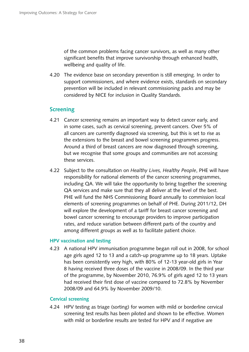of the common problems facing cancer survivors, as well as many other significant benefits that improve survivorship through enhanced health, wellbeing and quality of life.

4.20 The evidence base on secondary prevention is still emerging. In order to support commissioners, and where evidence exists, standards on secondary prevention will be included in relevant commissioning packs and may be considered by NICE for inclusion in Quality Standards.

## **Screening**

- 4.21 Cancer screening remains an important way to detect cancer early, and in some cases, such as cervical screening, prevent cancers. Over 5% of all cancers are currently diagnosed via screening, but this is set to rise as the extensions to the breast and bowel screening programmes progress. Around a third of breast cancers are now diagnosed through screening, but we recognise that some groups and communities are not accessing these services.
- 4.22 � Subject to the consultation on *Healthy Lives, Healthy People*, PHE will have responsibility for national elements of the cancer screening programmes, including QA. We will take the opportunity to bring together the screening QA services and make sure that they all deliver at the level of the best. PHE will fund the NHS Commissioning Board annually to commission local elements of screening programmes on behalf of PHE. During 2011/12, DH will explore the development of a tariff for breast cancer screening and bowel cancer screening to encourage providers to improve participation rates, and reduce variation between different parts of the country and among different groups as well as to facilitate patient choice.

#### **HPV vaccination and testing**

4.23 A national HPV immunisation programme began roll out in 2008, for school age girls aged 12 to 13 and a catch-up programme up to 18 years. Uptake has been consistently very high, with 80% of 12-13 year-old girls in Year 8 having received three doses of the vaccine in 2008/09. In the third year of the programme, by November 2010, 76.9% of girls aged 12 to 13 years had received their first dose of vaccine compared to 72.8% by November 2008/09 and 64.9% by November 2009/10.

#### **Cervical screening**

4.24 � HPV testing as triage (sorting) for women with mild or borderline cervical screening test results has been piloted and shown to be effective. Women with mild or borderline results are tested for HPV and if negative are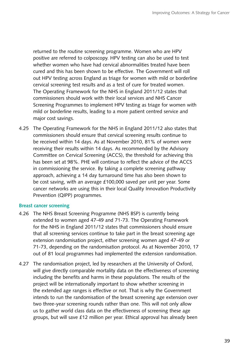returned to the routine screening programme. Women who are HPV positive are referred to colposcopy. HPV testing can also be used to test whether women who have had cervical abnormalities treated have been cured and this has been shown to be effective. The Government will roll out HPV testing across England as triage for women with mild or borderline cervical screening test results and as a test of cure for treated women. The Operating Framework for the NHS in England 2011/12 states that commissioners should work with their local services and NHS Cancer Screening Programmes to implement HPV testing as triage for women with mild or borderline results, leading to a more patient centred service and major cost savings.

4.25 The Operating Framework for the NHS in England 2011/12 also states that commissioners should ensure that cervical screening results continue to be received within 14 days. As at November 2010, 81% of women were receiving their results within 14 days. As recommended by the Advisory Committee on Cervical Screening (ACCS), the threshold for achieving this has been set at 98%. PHE will continue to reflect the advice of the ACCS in commissioning the service. By taking a complete screening pathway approach, achieving a 14 day turnaround time has also been shown to be cost saving, with an average £100,000 saved per unit per year. Some cancer networks are using this in their local Quality Innovation Productivity Prevention (QIPP) programmes.

#### **Breast cancer screening**

- 4.26 The NHS Breast Screening Programme (NHS BSP) is currently being extended to women aged 47-49 and 71-73. The Operating Framework for the NHS in England 2011/12 states that commissioners should ensure that all screening services continue to take part in the breast screening age extension randomisation project, either screening women aged 47-49 or 71-73, depending on the randomisation protocol. As at November 2010, 17 out of 81 local programmes had implemented the extension randomisation.
- 4.27 The randomisation project, led by researchers at the University of Oxford, will give directly comparable mortality data on the effectiveness of screening including the benefits and harms in these populations. The results of the project will be internationally important to show whether screening in the extended age ranges is effective or not. That is why the Government intends to run the randomisation of the breast screening age extension over two three-year screening rounds rather than one. This will not only allow us to gather world class data on the effectiveness of screening these age groups, but will save £12 million per year. Ethical approval has already been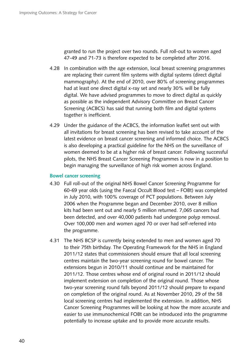granted to run the project over two rounds. Full roll-out to women aged 47-49 and 71-73 is therefore expected to be completed after 2016.

- 4.28 In combination with the age extension, local breast screening programmes are replacing their current film systems with digital systems (direct digital mammography). At the end of 2010, over 80% of screening programmes had at least one direct digital x-ray set and nearly 30% will be fully digital. We have advised programmes to move to direct digital as quickly as possible as the independent Advisory Committee on Breast Cancer Screening (ACBCS) has said that running both film and digital systems together is inefficient.
- 4.29 Under the guidance of the ACBCS, the information leaflet sent out with all invitations for breast screening has been revised to take account of the latest evidence on breast cancer screening and informed choice. The ACBCS is also developing a practical guideline for the NHS on the surveillance of women deemed to be at a higher risk of breast cancer. Following successful pilots, the NHS Breast Cancer Screening Programmes is now in a position to begin managing the surveillance of high risk women across England.

#### **Bowel cancer screening**

- 4.30 Full roll-out of the original NHS Bowel Cancer Screening Programme for 60-69 year olds (using the Faecal Occult Blood test – FOBt) was completed in July 2010, with 100% coverage of PCT populations. Between July 2006 when the Programme began and December 2010, over 8 million kits had been sent out and nearly 5 million returned. 7,065 cancers had been detected, and over 40,000 patients had undergone polyp removal. Over 100,000 men and women aged 70 or over had self-referred into the programme.
- 4.31 The NHS BCSP is currently being extended to men and women aged 70 to their 75th birthday. The Operating Framework for the NHS in England 2011/12 states that commissioners should ensure that all local screening centres maintain the two-year screening round for bowel cancer. The extensions begun in 2010/11 should continue and be maintained for 2011/12. Those centres whose end of original round in 2011/12 should implement extension on completion of the original round. Those whose two-year screening round falls beyond 2011/12 should prepare to expand on completion of the original round. As at November 2010, 29 of the 58 local screening centres had implemented the extension. In addition, NHS Cancer Screening Programmes will be looking at how the more accurate and easier to use immunochemical FOBt can be introduced into the programme potentially to increase uptake and to provide more accurate results.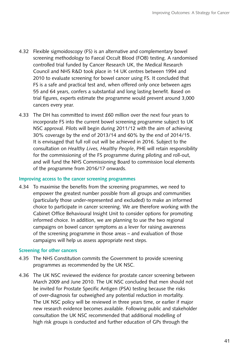- 4.32 Flexible sigmoidoscopy (FS) is an alternative and complementary bowel screening methodology to Faecal Occult Blood (FOB) testing. A randomised controlled trial funded by Cancer Research UK, the Medical Research Council and NHS R&D took place in 14 UK centres between 1994 and 2010 to evaluate screening for bowel cancer using FS. It concluded that FS is a safe and practical test and, when offered only once between ages 55 and 64 years, confers a substantial and long lasting benefit. Based on trial figures, experts estimate the programme would prevent around 3,000 cancers every year.
- 4.33 The DH has committed to invest £60 million over the next four years to incorporate FS into the current bowel screening programme subject to UK NSC approval. Pilots will begin during 2011/12 with the aim of achieving 30% coverage by the end of 2013/14 and 60% by the end of 2014/15. It is envisaged that full roll out will be achieved in 2016. Subject to the consultation on *Healthy Lives, Healthy People*, PHE will retain responsibility for the commissioning of the FS programme during piloting and roll-out, and will fund the NHS Commissioning Board to commission local elements of the programme from 2016/17 onwards.

#### **Improving access to the cancer screening programmes**

4.34 To maximise the benefits from the screening programmes, we need to empower the greatest number possible from all groups and communities (particularly those under-represented and excluded) to make an informed choice to participate in cancer screening. We are therefore working with the Cabinet Office Behavioural Insight Unit to consider options for promoting informed choice. In addition, we are planning to use the two regional campaigns on bowel cancer symptoms as a lever for raising awareness of the screening programme in those areas – and evaluation of those campaigns will help us assess appropriate next steps.

#### **Screening for other cancers**

- 4.35 The NHS Constitution commits the Government to provide screening programmes as recommended by the UK NSC.
- 4.36 The UK NSC reviewed the evidence for prostate cancer screening between March 2009 and June 2010. The UK NSC concluded that men should not be invited for Prostate Specific Antigen (PSA) testing because the risks of over-diagnosis far outweighed any potential reduction in mortality. The UK NSC policy will be reviewed in three years time, or earlier if major new research evidence becomes available. Following public and stakeholder consultation the UK NSC recommended that additional modelling of high risk groups is conducted and further education of GPs through the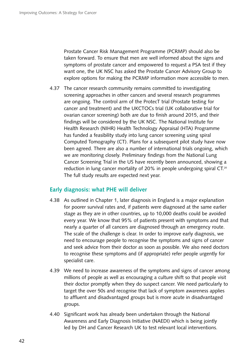Prostate Cancer Risk Management Programme (PCRMP) should also be taken forward. To ensure that men are well informed about the signs and symptoms of prostate cancer and empowered to request a PSA test if they want one, the UK NSC has asked the Prostate Cancer Advisory Group to explore options for making the PCRMP information more accessible to men.

4.37 The cancer research community remains committed to investigating screening approaches in other cancers and several research programmes are ongoing. The control arm of the ProtecT trial (Prostate testing for cancer and treatment) and the UKCTOCs trial (UK collaborative trial for ovarian cancer screening) both are due to finish around 2015, and their findings will be considered by the UK NSC. The National Institute for Health Research (NIHR) Health Technology Appraisal (HTA) Programme has funded a feasibility study into lung cancer screening using spiral Computed Tomography (CT). Plans for a subsequent pilot study have now been agreed. There are also a number of international trials ongoing, which we are monitoring closely. Preliminary findings from the National Lung Cancer Screening Trial in the US have recently been announced, showing a reduction in lung cancer mortality of 20% in people undergoing spiral CT.<sup>20</sup> The full study results are expected next year.

## **Early diagnosis: what PHE will deliver**

- 4.38 As outlined in Chapter 1, later diagnosis in England is a major explanation for poorer survival rates and, if patients were diagnosed at the same earlier stage as they are in other countries, up to 10,000 deaths could be avoided every year. We know that 95% of patients present with symptoms and that nearly a quarter of all cancers are diagnosed through an emergency route. The scale of the challenge is clear. In order to improve early diagnosis, we need to encourage people to recognise the symptoms and signs of cancer and seek advice from their doctor as soon as possible. We also need doctors to recognise these symptoms and (if appropriate) refer people urgently for specialist care.
- 4.39 We need to increase awareness of the symptoms and signs of cancer among millions of people as well as encouraging a culture shift so that people visit their doctor promptly when they do suspect cancer. We need particularly to target the over 50s and recognise that lack of symptom awareness applies to affluent and disadvantaged groups but is more acute in disadvantaged groups.
- 4.40 Significant work has already been undertaken through the National Awareness and Early Diagnosis Initiative (NAEDI) which is being jointly led by DH and Cancer Research UK to test relevant local interventions.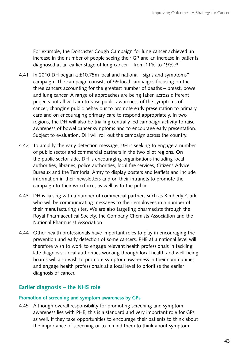For example, the Doncaster Cough Campaign for lung cancer achieved an increase in the number of people seeing their GP and an increase in patients diagnosed at an earlier stage of lung cancer – from 11% to 19%.<sup>21</sup>

- 4.41 In 2010 DH began a £10.75m local and national "signs and symptoms" campaign. The campaign consists of 59 local campaigns focusing on the three cancers accounting for the greatest number of deaths – breast, bowel and lung cancer. A range of approaches are being taken across different projects but all will aim to raise public awareness of the symptoms of cancer, changing public behaviour to promote early presentation to primary care and on encouraging primary care to respond appropriately. In two regions, the DH will also be trialling centrally led campaign activity to raise awareness of bowel cancer symptoms and to encourage early presentation. Subject to evaluation, DH will roll out the campaign across the country.
- 4.42 To amplify the early detection message, DH is seeking to engage a number of public sector and commercial partners in the two pilot regions. On the public sector side, DH is encouraging organisations including local authorities, libraries, police authorities, local fire services, Citizens Advice Bureaux and the Territorial Army to display posters and leaflets and include information in their newsletters and on their intranets to promote the campaign to their workforce, as well as to the public.
- 4.43 DH is liaising with a number of commercial partners such as Kimberly-Clark who will be communicating messages to their employees in a number of their manufacturing sites. We are also targeting pharmacists through the Royal Pharmaceutical Society, the Company Chemists Association and the National Pharmacist Association.
- 4.44 Other health professionals have important roles to play in encouraging the prevention and early detection of some cancers. PHE at a national level will therefore wish to work to engage relevant health professionals in tackling late diagnosis. Local authorities working through local health and well-being boards will also wish to promote symptom awareness in their communities and engage health professionals at a local level to prioritise the earlier diagnosis of cancer.

# **Earlier diagnosis – the NHS role**

#### **Promotion of screening and symptom awareness by GPs**

4.45 Although overall responsibility for promoting screening and symptom awareness lies with PHE, this is a standard and very important role for GPs as well. If they take opportunities to encourage their patients to think about the importance of screening or to remind them to think about symptom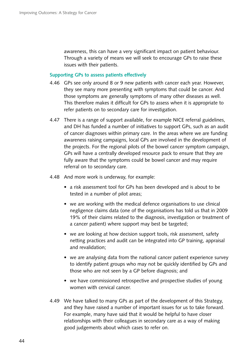awareness, this can have a very significant impact on patient behaviour. Through a variety of means we will seek to encourage GPs to raise these issues with their patients.

#### **Supporting GPs to assess patients effectively**

- 4.46 GPs see only around 8 or 9 new patients with cancer each year. However, they see many more presenting with symptoms that could be cancer. And those symptoms are generally symptoms of many other diseases as well. This therefore makes it difficult for GPs to assess when it is appropriate to refer patients on to secondary care for investigation.
- 4.47 There is a range of support available, for example NICE referral guidelines, and DH has funded a number of initiatives to support GPs, such as an audit of cancer diagnoses within primary care. In the areas where we are funding awareness raising campaigns, local GPs are involved in the development of the projects. For the regional pilots of the bowel cancer symptom campaign, GPs will have a centrally developed resource pack to ensure that they are fully aware that the symptoms could be bowel cancer and may require referral on to secondary care.
- 4.48 � And more work is underway, for example:
	- a risk assessment tool for GPs has been developed and is about to be tested in a number of pilot areas;
	- we are working with the medical defence organisations to use clinical negligence claims data (one of the organisations has told us that in 2009 19% of their claims related to the diagnosis, investigation or treatment of a cancer patient) where support may best be targeted;
	- we are looking at how decision support tools, risk assessment, safety netting practices and audit can be integrated into GP training, appraisal and revalidation;
	- we are analysing data from the national cancer patient experience survey to identify patient groups who may not be quickly identified by GPs and those who are not seen by a GP before diagnosis; and
	- we have commissioned retrospective and prospective studies of young women with cervical cancer.
- 4.49 We have talked to many GPs as part of the development of this Strategy, and they have raised a number of important issues for us to take forward. For example, many have said that it would be helpful to have closer relationships with their colleagues in secondary care as a way of making good judgements about which cases to refer on.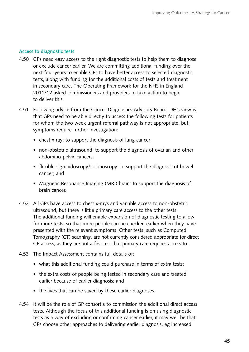#### **Access to diagnostic tests**

- 4.50 GPs need easy access to the right diagnostic tests to help them to diagnose or exclude cancer earlier. We are committing additional funding over the next four years to enable GPs to have better access to selected diagnostic tests, along with funding for the additional costs of tests and treatment in secondary care. The Operating Framework for the NHS in England 2011/12 asked commissioners and providers to take action to begin to deliver this.
- 4.51 Following advice from the Cancer Diagnostics Advisory Board, DH's view is that GPs need to be able directly to access the following tests for patients for whom the two week urgent referral pathway is not appropriate, but symptoms require further investigation:
	- chest x ray: to support the diagnosis of lung cancer;
	- non-obstetric ultrasound: to support the diagnosis of ovarian and other abdomino-pelvic cancers;
	- flexible-sigmoidoscopy/colonoscopy: to support the diagnosis of bowel cancer; and
	- Magnetic Resonance Imaging (MRI) brain: to support the diagnosis of brain cancer.
- Tomography (CT) scanning, are not currently considered appropriate for direct GP access, as they are not a first test that primary care requires access to. 4.52 All GPs have access to chest x-rays and variable access to non-obstetric ultrasound, but there is little primary care access to the other tests. The additional funding will enable expansion of diagnostic testing to allow for more tests, so that more people can be checked earlier when they have presented with the relevant symptoms. Other tests, such as Computed
- 4.53 The Impact Assessment contains full details of:
	- what this additional funding could purchase in terms of extra tests;
	- the extra costs of people being tested in secondary care and treated earlier because of earlier diagnosis; and
	- the lives that can be saved by these earlier diagnoses.
- 4.54 It will be the role of GP consortia to commission the additional direct access tests. Although the focus of this additional funding is on using diagnostic tests as a way of excluding or confirming cancer earlier, it may well be that GPs choose other approaches to delivering earlier diagnosis, eg increased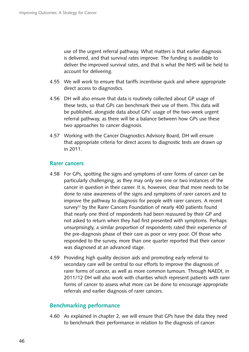use of the urgent referral pathway. What matters is that earlier diagnosis is delivered, and that survival rates improve. The funding is available to deliver the improved survival rates, and that is what the NHS will be held to account for delivering.

- 4.55 We will work to ensure that tariffs incentivise quick and where appropriate direct access to diagnostics.
- 4.56 DH will also ensure that data is routinely collected about GP usage of these tests, so that GPs can benchmark their use of them. This data will be published, alongside data about GPs' usage of the two-week urgent referral pathway, as there will be a balance between how GPs use these two approaches to cancer diagnosis.
- 4.57 Working with the Cancer Diagnostics Advisory Board, DH will ensure that appropriate criteria for direct access to diagnostic tests are drawn up in 2011.

#### **Rarer cancers**

- 4.58 For GPs, spotting the signs and symptoms of rarer forms of cancer can be particularly challenging, as they may only see one or two instances of the cancer in question in their career. It is, however, clear that more needs to be done to raise awareness of the signs and symptoms of rarer cancers and to improve the pathway to diagnosis for people with rarer cancers. A recent survey<sup>22</sup> by the Rarer Cancers Foundation of nearly 400 patients found that nearly one third of respondents had been reassured by their GP and not asked to return when they had first presented with symptoms. Perhaps unsurprisingly, a similar proportion of respondents rated their experience of the pre-diagnosis phase of their care as poor or very poor. Of those who responded to the survey, more than one quarter reported that their cancer was diagnosed at an advanced stage.
- 4.59 Providing high quality decision aids and promoting early referral to secondary care will be central to our efforts to improve the diagnosis of rarer forms of cancer, as well as more common tumours. Through NAEDI, in 2011/12 DH will also work with charities which represent patients with rarer forms of cancer to assess what more can be done to encourage appropriate referrals and earlier diagnosis of rarer cancers.

## **Benchmarking performance**

4.60 As explained in chapter 2, we will ensure that GPs have the data they need to benchmark their performance in relation to the diagnosis of cancer.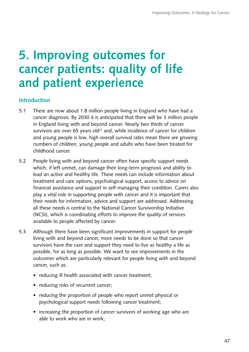# **5. Improving outcomes for cancer patients: quality of life and patient experience**

# **Introduction**

- 5.1 There are now about 1.8 million people living in England who have had a cancer diagnosis. By 2030 it is anticipated that there will be 3 million people in England living with and beyond cancer. Nearly two thirds of cancer survivors are over 65 years old $^{23}$  and, while incidence of cancer for children and young people is low, high overall survival rates mean there are growing numbers of children, young people and adults who have been treated for childhood cancer.
- 5.2 People living with and beyond cancer often have specific support needs which, if left unmet, can damage their long-term prognosis and ability to lead an active and healthy life. These needs can include information about treatment and care options, psychological support, access to advice on financial assistance and support in self-managing their condition. Carers also play a vital role in supporting people with cancer and it is important that their needs for information, advice and support are addressed. Addressing all these needs is central to the National Cancer Survivorship Initiative (NCSI), which is coordinating efforts to improve the quality of services available to people affected by cancer.
- 5.3 � Although there have been significant improvements in support for people living with and beyond cancer, more needs to be done so that cancer survivors have the care and support they need to live as healthy a life as possible, for as long as possible. We want to see improvements in the outcomes which are particularly relevant for people living with and beyond cancer, such as:
	- reducing ill health associated with cancer treatment;
	- reducing risks of recurrent cancer;
	- reducing the proportion of people who report unmet physical or psychological support needs following cancer treatment;
	- increasing the proportion of cancer survivors of working age who are able to work who are in work;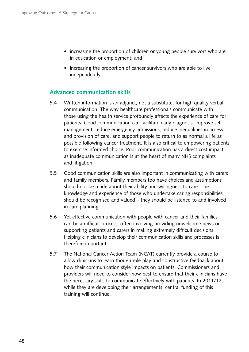- increasing the proportion of children or young people survivors who are in education or employment; and
- increasing the proportion of cancer survivors who are able to live independently.

# **Advanced communication skills**

- 5.4 � Written information is an adjunct, not a substitute, for high quality verbal communication. The way healthcare professionals communicate with those using the health service profoundly affects the experience of care for patients. Good communication can facilitate early diagnosis, improve selfmanagement, reduce emergency admissions, reduce inequalities in access and provision of care, and support people to return to as normal a life as possible following cancer treatment. It is also critical to empowering patients to exercise informed choice. Poor communication has a direct cost impact as inadequate communication is at the heart of many NHS complaints and litigation.
- 5.5 � Good communication skills are also important in communicating with carers and family members. Family members too have choices and assumptions should not be made about their ability and willingness to care. The knowledge and experience of those who undertake caring responsibilities should be recognised and valued – they should be listened to and involved in care planning.
- 5.6 Yet effective communication with people with cancer and their families can be a difficult process, often involving providing unwelcome news or supporting patients and carers in making extremely difficult decisions. Helping clinicians to develop their communication skills and processes is therefore important.
- 5.7 The National Cancer Action Team (NCAT) currently provide a course to allow clinicians to learn though role play and constructive feedback about how their communication style impacts on patients. Commissioners and providers will need to consider how best to ensure that their clinicians have the necessary skills to communicate effectively with patients. In 2011/12, while they are developing their arrangements, central funding of this training will continue.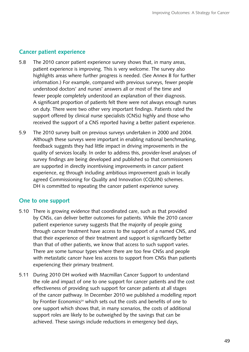## **Cancer patient experience**

- A significant proportion of patients felt there were not always enough nurses 5.8 The 2010 cancer patient experience survey shows that, in many areas, patient experience is improving. This is very welcome. The survey also highlights areas where further progress is needed. (See Annex B for further information.) For example, compared with previous surveys, fewer people understood doctors' and nurses' answers all or most of the time and fewer people completely understood an explanation of their diagnosis. on duty. There were two other very important findings. Patients rated the support offered by clinical nurse specialists (CNSs) highly and those who received the support of a CNS reported having a better patient experience.
- 5.9 � The 2010 survey built on previous surveys undertaken in 2000 and 2004. Although these surveys were important in enabling national benchmarking, feedback suggests they had little impact in driving improvements in the quality of services locally. In order to address this, provider-level analyses of survey findings are being developed and published so that commissioners are supported in directly incentivising improvements in cancer patient experience, eg through including ambitious improvement goals in locally agreed Commissioning for Quality and Innovation (CQUIN) schemes. DH is committed to repeating the cancer patient experience survey.

## **One to one support**

- 5.10 � There is growing evidence that coordinated care, such as that provided by CNSs, can deliver better outcomes for patients. While the 2010 cancer patient experience survey suggests that the majority of people going through cancer treatment have access to the support of a named CNS, and that their experience of their treatment and support is significantly better than that of other patients, we know that access to such support varies. There are some tumour types where there are too few CNSs and people with metastatic cancer have less access to support from CNSs than patients experiencing their primary treatment.
- 5.11 During 2010 DH worked with Macmillan Cancer Support to understand the role and impact of one to one support for cancer patients and the cost effectiveness of providing such support for cancer patients at all stages of the cancer pathway. In December 2010 we published a modelling report by Frontier Economics<sup>24</sup> which sets out the costs and benefits of one to one support which shows that, in many scenarios, the costs of additional support roles are likely to be outweighed by the savings that can be achieved. These savings include reductions in emergency bed days,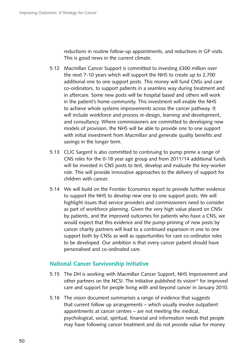reductions in routine follow-up appointments, and reductions in GP visits. This is good news in the current climate.

- 5.12 Macmillan Cancer Support is committed to investing £300 million over the next 7-10 years which will support the NHS to create up to 2,700 additional one to one support posts. This money will fund CNSs and care co-ordinators, to support patients in a seamless way during treatment and in aftercare. Some new posts will be hospital based and others will work in the patient's home community. This investment will enable the NHS to achieve whole systems improvements across the cancer pathway. It will include workforce and process re-design, learning and development, and consultancy. Where commissioners are committed to developing new models of provision, the NHS will be able to provide one to one support with initial investment from Macmillan and generate quality benefits and savings in the longer term.
- 5.13 CLIC Sargent is also committed to continuing to pump prime a range of CNS roles for the 0-18 year age group and from 2011/14 additional funds will be invested in CNS posts to test, develop and evaluate the key-worker role. This will provide innovative approaches to the delivery of support for children with cancer.
- 5.14 We will build on the Frontier Economics report to provide further evidence to support the NHS to develop new one to one support posts. We will highlight issues that service providers and commissioners need to consider as part of workforce planning. Given the very high value placed on CNSs by patients, and the improved outcomes for patients who have a CNS, we would expect that this evidence and the pump-priming of new posts by cancer charity partners will lead to a continued expansion in one to one support both by CNSs as well as opportunities for care co-ordinator roles to be developed. Our ambition is that every cancer patient should have personalised and co-ordinated care.

## **National Cancer Survivorship Initiative**

- 5.15 The DH is working with Macmillan Cancer Support, NHS Improvement and other partners on the NCSI. The initiative published its vision<sup>25</sup> for improved care and support for people living with and beyond cancer in January 2010.
- 5.16 The vision document summarises a range of evidence that suggests that current follow up arrangements – which usually involve outpatient appointments at cancer centres – are not meeting the medical, psychological, social, spiritual, financial and information needs that people may have following cancer treatment and do not provide value for money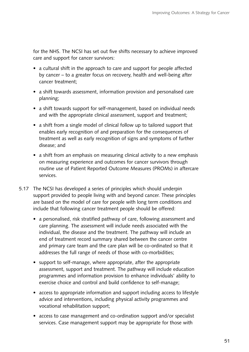for the NHS. The NCSI has set out five shifts necessary to achieve improved care and support for cancer survivors:

- a cultural shift in the approach to care and support for people affected by cancer – to a greater focus on recovery, health and well-being after cancer treatment;
- a shift towards assessment, information provision and personalised care planning;
- a shift towards support for self-management, based on individual needs and with the appropriate clinical assessment, support and treatment;
- a shift from a single model of clinical follow up to tailored support that enables early recognition of and preparation for the consequences of treatment as well as early recognition of signs and symptoms of further disease; and
- a shift from an emphasis on measuring clinical activity to a new emphasis on measuring experience and outcomes for cancer survivors through routine use of Patient Reported Outcome Measures (PROMs) in aftercare services.
- 5.17 The NCSI has developed a series of principles which should underpin support provided to people living with and beyond cancer. These principles are based on the model of care for people with long term conditions and include that following cancer treatment people should be offered:
	- a personalised, risk stratified pathway of care, following assessment and care planning. The assessment will include needs associated with the individual, the disease and the treatment. The pathway will include an end of treatment record summary shared between the cancer centre and primary care team and the care plan will be co-ordinated so that it addresses the full range of needs of those with co-morbidities;
	- support to self-manage, where appropriate, after the appropriate assessment, support and treatment. The pathway will include education programmes and information provision to enhance individuals' ability to exercise choice and control and build confidence to self-manage;
	- access to appropriate information and support including access to lifestyle advice and interventions, including physical activity programmes and vocational rehabilitation support;
	- access to case management and co-ordination support and/or specialist services. Case management support may be appropriate for those with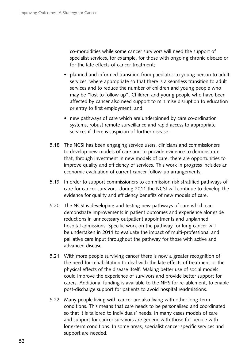co-morbidities while some cancer survivors will need the support of specialist services, for example, for those with ongoing chronic disease or for the late effects of cancer treatment;

- planned and informed transition from paediatric to young person to adult services, where appropriate so that there is a seamless transition to adult services and to reduce the number of children and young people who may be "lost to follow up". Children and young people who have been affected by cancer also need support to minimise disruption to education or entry to first employment; and
- new pathways of care which are underpinned by care co-ordination systems, robust remote surveillance and rapid access to appropriate services if there is suspicion of further disease.
- 5.18 The NCSI has been engaging service users, clinicians and commissioners to develop new models of care and to provide evidence to demonstrate that, through investment in new models of care, there are opportunities to improve quality and efficiency of services. This work in progress includes an economic evaluation of current cancer follow-up arrangements.
- 5.19 In order to support commissioners to commission risk stratified pathways of care for cancer survivors, during 2011 the NCSI will continue to develop the evidence for quality and efficiency benefits of new models of care.
- 5.20 The NCSI is developing and testing new pathways of care which can demonstrate improvements in patient outcomes and experience alongside reductions in unnecessary outpatient appointments and unplanned hospital admissions. Specific work on the pathway for lung cancer will be undertaken in 2011 to evaluate the impact of multi-professional and palliative care input throughout the pathway for those with active and advanced disease.
- 5.21 With more people surviving cancer there is now a greater recognition of the need for rehabilitation to deal with the late effects of treatment or the physical effects of the disease itself. Making better use of social models could improve the experience of survivors and provide better support for carers. Additional funding is available to the NHS for re-ablement, to enable post-discharge support for patients to avoid hospital readmissions.
- 5.22 Many people living with cancer are also living with other long-term conditions. This means that care needs to be personalised and coordinated so that it is tailored to individuals' needs. In many cases models of care and support for cancer survivors are generic with those for people with long-term conditions. In some areas, specialist cancer specific services and support are needed.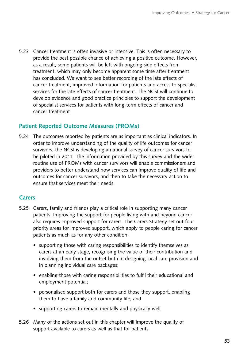5.23 Cancer treatment is often invasive or intensive. This is often necessary to provide the best possible chance of achieving a positive outcome. However, as a result, some patients will be left with ongoing side effects from treatment, which may only become apparent some time after treatment has concluded. We want to see better recording of the late effects of cancer treatment, improved information for patients and access to specialist services for the late effects of cancer treatment. The NCSI will continue to develop evidence and good practice principles to support the development of specialist services for patients with long-term effects of cancer and cancer treatment.

# **Patient Reported Outcome Measures (PROMs)**

5.24 The outcomes reported by patients are as important as clinical indicators. In order to improve understanding of the quality of life outcomes for cancer survivors, the NCSI is developing a national survey of cancer survivors to be piloted in 2011. The information provided by this survey and the wider routine use of PROMs with cancer survivors will enable commissioners and providers to better understand how services can improve quality of life and outcomes for cancer survivors, and then to take the necessary action to ensure that services meet their needs.

# **Carers**

- 5.25 � Carers, family and friends play a critical role in supporting many cancer patients. Improving the support for people living with and beyond cancer also requires improved support for carers. The Carers Strategy set out four priority areas for improved support, which apply to people caring for cancer patients as much as for any other condition:
	- supporting those with caring responsibilities to identify themselves as carers at an early stage, recognising the value of their contribution and involving them from the outset both in designing local care provision and in planning individual care packages;
	- enabling those with caring responsibilities to fulfil their educational and employment potential;
	- personalised support both for carers and those they support, enabling them to have a family and community life; and
	- supporting carers to remain mentally and physically well.
- 5.26 Many of the actions set out in this chapter will improve the quality of support available to carers as well as that for patients.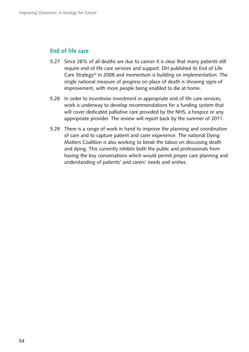## **End of life care**

- 5.27 Since 28% of all deaths are due to cancer it is clear that many patients still require end of life care services and support. DH published its End of Life Care Strategy<sup>26</sup> in 2008 and momentum is building on implementation. The single national measure of progress on place of death is showing signs of improvement, with more people being enabled to die at home.
- 5.28 In order to incentivise investment in appropriate end of life care services, work is underway to develop recommendations for a funding system that will cover dedicated palliative care provided by the NHS, a hospice or any appropriate provider. The review will report back by the summer of 2011.
- 5.29 There is a range of work in hand to improve the planning and coordination of care and to capture patient and carer experience. The national Dying Matters Coalition is also working to break the taboo on discussing death and dying. This currently inhibits both the public and professionals from having the key conversations which would permit proper care planning and understanding of patients' and carers' needs and wishes.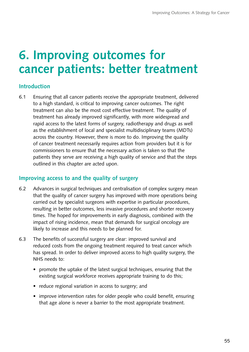# **6. Improving outcomes for cancer patients: better treatment**

# **Introduction**

6.1 � Ensuring that all cancer patients receive the appropriate treatment, delivered to a high standard, is critical to improving cancer outcomes. The right treatment can also be the most cost effective treatment. The quality of treatment has already improved significantly, with more widespread and rapid access to the latest forms of surgery, radiotherapy and drugs as well as the establishment of local and specialist multidisciplinary teams (MDTs) across the country. However, there is more to do. Improving the quality of cancer treatment necessarily requires action from providers but it is for commissioners to ensure that the necessary action is taken so that the patients they serve are receiving a high quality of service and that the steps outlined in this chapter are acted upon.

# **Improving access to and the quality of surgery**

- 6.2 � Advances in surgical techniques and centralisation of complex surgery mean that the quality of cancer surgery has improved with more operations being carried out by specialist surgeons with expertise in particular procedures, resulting in better outcomes, less invasive procedures and shorter recovery times. The hoped for improvements in early diagnosis, combined with the impact of rising incidence, mean that demands for surgical oncology are likely to increase and this needs to be planned for.
- 6.3 � The benefits of successful surgery are clear: improved survival and reduced costs from the ongoing treatment required to treat cancer which has spread. In order to deliver improved access to high quality surgery, the NHS needs to:
	- promote the uptake of the latest surgical techniques, ensuring that the existing surgical workforce receives appropriate training to do this;
	- reduce regional variation in access to surgery; and
	- improve intervention rates for older people who could benefit, ensuring that age alone is never a barrier to the most appropriate treatment.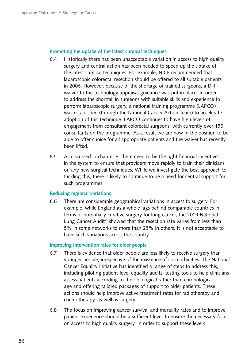#### **Promoting the uptake of the latest surgical techniques**

- 6.4 � Historically there has been unacceptable variation in access to high quality surgery and central action has been needed to speed up the uptake of the latest surgical techniques. For example, NICE recommended that laparoscopic colorectal resection should be offered to all suitable patients in 2006. However, because of the shortage of trained surgeons, a DH waiver to the technology appraisal guidance was put in place. In order to address the shortfall in surgeons with suitable skills and experience to perform laparoscopic surgery, a national training programme (LAPCO) was established (through the National Cancer Action Team) to accelerate adoption of this technique. LAPCO continues to have high levels of engagement from consultant colorectal surgeons, with currently over 150 consultants on the programme. As a result we are now in the position to be able to offer choice for all appropriate patients and the waiver has recently been lifted.
- 6.5 � As discussed in chapter 8, there need to be the right financial incentives in the system to ensure that providers move rapidly to train their clinicians on any new surgical techniques. While we investigate the best approach to tackling this, there is likely to continue to be a need for central support for such programmes.

#### **Reducing regional variations**

6.6 � There are considerable geographical variations in access to surgery. For example, while England as a whole lags behind comparable countries in terms of potentially curative surgery for lung cancer, the 2009 National Lung Cancer Audit<sup>27</sup> showed that the resection rate varies from less than 5% in some networks to more than 25% in others. It is not acceptable to have such variations across the country.

#### **Improving intervention rates for older people**

- 6.7 There is evidence that older people are less likely to receive surgery than younger people, irrespective of the existence of co-morbidities. The National Cancer Equality Initiative has identified a range of steps to address this, including piloting patient-level equality audits, testing tools to help clinicians assess patients according to their biological rather than chronological age and offering tailored packages of support to older patients. These actions should help improve active treatment rates for radiotherapy and chemotherapy, as well as surgery.
- 6.8 � The focus on improving cancer survival and mortality rates and to improve patient experience should be a sufficient lever to ensure the necessary focus on access to high quality surgery. In order to support these levers: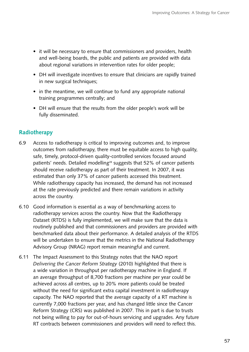- it will be necessary to ensure that commissioners and providers, health and well-being boards, the public and patients are provided with data about regional variations in intervention rates for older people;
- DH will investigate incentives to ensure that clinicians are rapidly trained in new surgical techniques;
- in the meantime, we will continue to fund any appropriate national training programmes centrally; and
- DH will ensure that the results from the older people's work will be fully disseminated.

# **Radiotherapy**

- 6.9 � Access to radiotherapy is critical to improving outcomes and, to improve outcomes from radiotherapy, there must be equitable access to high quality, safe, timely, protocol-driven quality-controlled services focused around patients' needs. Detailed modelling<sup>28</sup> suggests that 52% of cancer patients should receive radiotherapy as part of their treatment. In 2007, it was estimated than only 37% of cancer patients accessed this treatment. While radiotherapy capacity has increased, the demand has not increased at the rate previously predicted and there remain variations in activity across the country.
- 6.10 � Good information is essential as a way of benchmarking access to radiotherapy services across the country. Now that the Radiotherapy Dataset (RTDS) is fully implemented, we will make sure that the data is routinely published and that commissioners and providers are provided with benchmarked data about their performance. A detailed analysis of the RTDS will be undertaken to ensure that the metrics in the National Radiotherapy Advisory Group (NRAG) report remain meaningful and current.
- 6.11 � The Impact Assessment to this Strategy notes that the NAO report *Delivering the Cancer Reform Strategy* (2010) highlighted that there is a wide variation in throughput per radiotherapy machine in England. If an average throughput of 8,700 fractions per machine per year could be achieved across all centres, up to 20% more patients could be treated without the need for significant extra capital investment in radiotherapy capacity. The NAO reported that the average capacity of a RT machine is currently 7,000 fractions per year, and has changed little since the Cancer Reform Strategy (CRS) was published in 2007. This in part is due to trusts not being willing to pay for out-of-hours servicing and upgrades. Any future RT contracts between commissioners and providers will need to reflect this.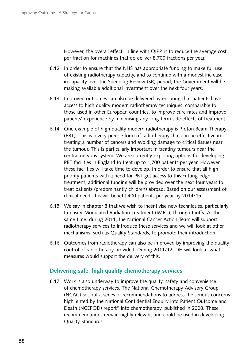However, the overall effect, in line with QIPP, is to reduce the average cost per fraction for machines that do deliver 8,700 fractions per year.

- 6.12 In order to ensure that the NHS has appropriate funding to make full use of existing radiotherapy capacity, and to continue with a modest increase in capacity over the Spending Review (SR) period, the Government will be making available additional investment over the next four years.
- 6.13 � Improved outcomes can also be delivered by ensuring that patients have access to high quality modern radiotherapy techniques, comparable to those used in other European countries, to improve cure rates and improve patients' experience by minimising any long-term side effects of treatment.
- 6.14 � One example of high quality modern radiotherapy is Proton Beam Therapy (PBT). This is a very precise form of radiotherapy that can be effective in treating a number of cancers and avoiding damage to critical tissues near the tumour. This is particularly important in treating tumours near the central nervous system. We are currently exploring options for developing PBT facilities in England to treat up to 1,700 patients per year. However, these facilities will take time to develop. In order to ensure that all high priority patients with a need for PBT get access to this cutting-edge treatment, additional funding will be provided over the next four years to treat patients (predominantly children) abroad. Based on our assessment of clinical need, this will benefit 400 patients per year by 2014/15.
- 6.15 � We say in chapter 8 that we wish to incentivise new techniques, particularly Intensity-Modulated Radiation Treatment (IMRT), through tariffs. At the same time, during 2011, the National Cancer Action Team will support radiotherapy services to introduce these services and we will look at other mechanisms, such as Quality Standards, to promote their introduction.
- 6.16 � Outcomes from radiotherapy can also be improved by improving the quality control of radiotherapy provided. During 2011/12, DH will look at what measures would support the delivery of this.

# **Delivering safe, high quality chemotherapy services**

6.17 Work is also underway to improve the quality, safety and convenience of chemotherapy services. The National Chemotherapy Advisory Group (NCAG) set out a series of recommendations to address the serious concerns highlighted by the National Confidential Enquiry into Patient Outcome and Death (NCEPOD) report<sup>29</sup> into chemotherapy, published in 2008. These recommendations remain highly relevant and could be used in developing Quality Standards.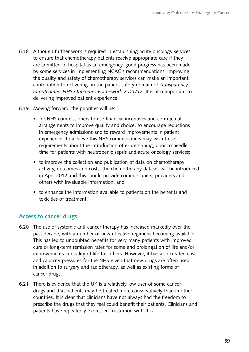- 6.18 � Although further work is required in establishing acute oncology services to ensure that chemotherapy patients receive appropriate care if they are admitted to hospital as an emergency, good progress has been made by some services in implementing NCAG's recommendations. Improving the quality and safety of chemotherapy services can make an important contribution to delivering on the patient safety domain of *Transparency in outcomes: NHS Outcomes Framework 2011/12*. It is also important to delivering improved patient experience.
- 6.19 Moving forward, the priorities will be:
	- for NHS commissioners to use financial incentives and contractual arrangements to improve quality and choice, to encourage reductions in emergency admissions and to reward improvements in patient experience. To achieve this NHS commissioners may wish to set requirements about the introduction of e-prescribing, door to needle time for patients with neutropenic sepsis and acute oncology services;
	- to improve the collection and publication of data on chemotherapy activity, outcomes and costs, the chemotherapy dataset will be introduced in April 2012 and this should provide commissioners, providers and others with invaluable information; and
	- to enhance the information available to patients on the benefits and toxicities of treatment.

# **Access to cancer drugs**

- 6.20 � The use of systemic anti-cancer therapy has increased markedly over the past decade, with a number of new effective regimens becoming available. This has led to undoubted benefits for very many patients with improved cure or long-term remission rates for some and prolongation of life and/or improvements in quality of life for others. However, it has also created cost and capacity pressures for the NHS given that new drugs are often used in addition to surgery and radiotherapy, as well as existing forms of cancer drugs.
- 6.21 There is evidence that the UK is a relatively low user of some cancer drugs and that patients may be treated more conservatively than in other countries. It is clear that clinicians have not always had the freedom to prescribe the drugs that they feel could benefit their patients. Clinicians and patients have repeatedly expressed frustration with this.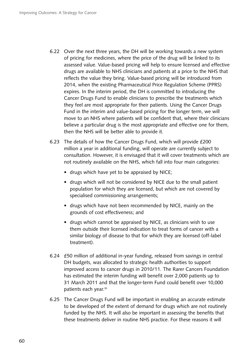- 6.22 � Over the next three years, the DH will be working towards a new system of pricing for medicines, where the price of the drug will be linked to its assessed value. Value-based pricing will help to ensure licensed and effective drugs are available to NHS clinicians and patients at a price to the NHS that reflects the value they bring. Value-based pricing will be introduced from 2014, when the existing Pharmaceutical Price Regulation Scheme (PPRS) expires. In the interim period, the DH is committed to introducing the Cancer Drugs Fund to enable clinicians to prescribe the treatments which they feel are most appropriate for their patients. Using the Cancer Drugs Fund in the interim and value-based pricing for the longer term, we will move to an NHS where patients will be confident that, where their clinicians believe a particular drug is the most appropriate and effective one for them, then the NHS will be better able to provide it.
- 6.23 The details of how the Cancer Drugs Fund, which will provide £200 million a year in additional funding, will operate are currently subject to consultation. However, it is envisaged that it will cover treatments which are not routinely available on the NHS, which fall into four main categories:
	- drugs which have yet to be appraised by NICE;
	- drugs which will not be considered by NICE due to the small patient population for which they are licensed, but which are not covered by specialised commissioning arrangements;
	- drugs which have not been recommended by NICE, mainly on the grounds of cost effectiveness; and
	- drugs which cannot be appraised by NICE, as clinicians wish to use them outside their licensed indication to treat forms of cancer with a similar biology of disease to that for which they are licensed (off-label treatment).
- 6.24 � £50 million of additional in-year funding, released from savings in central DH budgets, was allocated to strategic health authorities to support improved access to cancer drugs in 2010/11. The Rarer Cancers Foundation has estimated the interim funding will benefit over 2,000 patients up to 31 March 2011 and that the longer-term Fund could benefit over 10,000 patients each year.30
- 6.25 � The Cancer Drugs Fund will be important in enabling an accurate estimate to be developed of the extent of demand for drugs which are not routinely funded by the NHS. It will also be important in assessing the benefits that these treatments deliver in routine NHS practice. For these reasons it will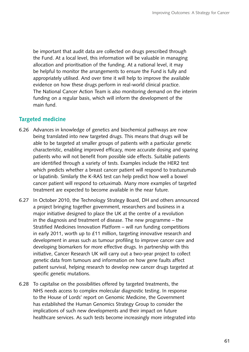be important that audit data are collected on drugs prescribed through the Fund. At a local level, this information will be valuable in managing allocation and prioritisation of the funding. At a national level, it may be helpful to monitor the arrangements to ensure the Fund is fully and appropriately utilised. And over time it will help to improve the available evidence on how these drugs perform in real-world clinical practice. The National Cancer Action Team is also monitoring demand on the interim funding on a regular basis, which will inform the development of the main fund.

## **Targeted medicine**

- 6.26 � Advances in knowledge of genetics and biochemical pathways are now being translated into new targeted drugs. This means that drugs will be able to be targeted at smaller groups of patients with a particular genetic characteristic, enabling improved efficacy, more accurate dosing and sparing patients who will not benefit from possible side effects. Suitable patients are identified through a variety of tests. Examples include the HER2 test which predicts whether a breast cancer patient will respond to trastuzumab or lapatinib. Similarly the K-RAS test can help predict how well a bowel cancer patient will respond to cetuximab. Many more examples of targeted treatment are expected to become available in the near future.
- 6.27 � In October 2010, the Technology Strategy Board, DH and others announced a project bringing together government, researchers and business in a major initiative designed to place the UK at the centre of a revolution in the diagnosis and treatment of disease. The new programme – the Stratified Medicines Innovation Platform – will run funding competitions in early 2011, worth up to £11 million, targeting innovative research and development in areas such as tumour profiling to improve cancer care and developing biomarkers for more effective drugs. In partnership with this initiative, Cancer Research UK will carry out a two-year project to collect genetic data from tumours and information on how gene faults affect patient survival, helping research to develop new cancer drugs targeted at specific genetic mutations.
- 6.28 � To capitalise on the possibilities offered by targeted treatments, the NHS needs access to complex molecular diagnostic testing. In response to the House of Lords' report on Genomic Medicine, the Government has established the Human Genomics Strategy Group to consider the implications of such new developments and their impact on future healthcare services. As such tests become increasingly more integrated into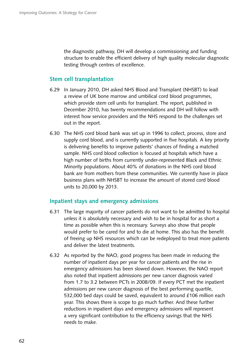the diagnostic pathway, DH will develop a commissioning and funding structure to enable the efficient delivery of high quality molecular diagnostic testing through centres of excellence.

### **Stem cell transplantation**

- 6.29 � In January 2010, DH asked NHS Blood and Transplant (NHSBT) to lead a review of UK bone marrow and umbilical cord blood programmes, which provide stem cell units for transplant. The report, published in December 2010, has twenty recommendations and DH will follow with interest how service providers and the NHS respond to the challenges set out in the report.
- 6.30 � The NHS cord blood bank was set up in 1996 to collect, process, store and supply cord blood, and is currently supported in five hospitals. A key priority is delivering benefits to improve patients' chances of finding a matched sample. NHS cord blood collection is focused at hospitals which have a high number of births from currently under-represented Black and Ethnic Minority populations. About 40% of donations in the NHS cord blood bank are from mothers from these communities. We currently have in place business plans with NHSBT to increase the amount of stored cord blood units to 20,000 by 2013.

#### **Inpatient stays and emergency admissions**

- 6.31 � The large majority of cancer patients do not want to be admitted to hospital unless it is absolutely necessary and wish to be in hospital for as short a time as possible when this is necessary. Surveys also show that people would prefer to be cared for and to die at home. This also has the benefit of freeing up NHS resources which can be redeployed to treat more patients and deliver the latest treatments.
- 6.32 � As reported by the NAO, good progress has been made in reducing the number of inpatient days per year for cancer patients and the rise in emergency admissions has been slowed down. However, the NAO report also noted that inpatient admissions per new cancer diagnosis varied from 1.7 to 3.2 between PCTs in 2008/09. If every PCT met the inpatient admissions per new cancer diagnosis of the best performing quartile, 532,000 bed days could be saved, equivalent to around £106 million each year. This shows there is scope to go much further. And these further reductions in inpatient days and emergency admissions will represent a very significant contribution to the efficiency savings that the NHS needs to make.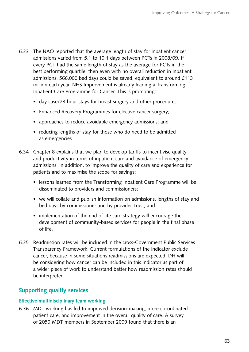- 6.33 The NAO reported that the average length of stay for inpatient cancer admissions varied from 5.1 to 10.1 days between PCTs in 2008/09. If every PCT had the same length of stay as the average for PCTs in the best performing quartile, then even with no overall reduction in inpatient admissions, 566,000 bed days could be saved, equivalent to around £113 million each year. NHS Improvement is already leading a Transforming Inpatient Care Programme for Cancer. This is promoting:
	- day case/23 hour stays for breast surgery and other procedures;
	- Enhanced Recovery Programmes for elective cancer surgery;
	- approaches to reduce avoidable emergency admissions; and
	- reducing lengths of stay for those who do need to be admitted as emergencies.
- 6.34 � Chapter 8 explains that we plan to develop tariffs to incentivise quality and productivity in terms of inpatient care and avoidance of emergency admissions. In addition, to improve the quality of care and experience for patients and to maximise the scope for savings:
	- lessons learned from the Transforming Inpatient Care Programme will be disseminated to providers and commissioners;
	- we will collate and publish information on admissions, lengths of stay and bed days by commissioner and by provider Trust; and
	- implementation of the end of life care strategy will encourage the development of community-based services for people in the final phase of life.
- 6.35 � Readmission rates will be included in the cross-Government Public Services Transparency Framework. Current formulations of the indicator exclude cancer, because in some situations readmissions are expected. DH will be considering how cancer can be included in this indicator as part of a wider piece of work to understand better how readmission rates should be interpreted.

# **Supporting quality services**

#### **Effective multidisciplinary team working**

6.36 � MDT working has led to improved decision-making, more co-ordinated patient care, and improvement in the overall quality of care. A survey of 2050 MDT members in September 2009 found that there is an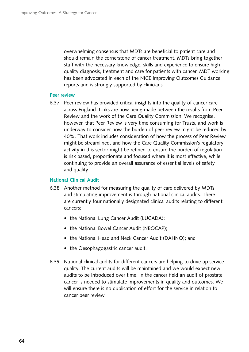overwhelming consensus that MDTs are beneficial to patient care and should remain the cornerstone of cancer treatment. MDTs bring together staff with the necessary knowledge, skills and experience to ensure high quality diagnosis, treatment and care for patients with cancer. MDT working has been advocated in each of the NICE Improving Outcomes Guidance reports and is strongly supported by clinicians.

#### **Peer review**

6.37 � Peer review has provided critical insights into the quality of cancer care across England. Links are now being made between the results from Peer Review and the work of the Care Quality Commission. We recognise, however, that Peer Review is very time consuming for Trusts, and work is underway to consider how the burden of peer review might be reduced by 40%. That work includes consideration of how the process of Peer Review might be streamlined, and how the Care Quality Commission's regulatory activity in this sector might be refined to ensure the burden of regulation is risk based, proportionate and focused where it is most effective, while continuing to provide an overall assurance of essential levels of safety and quality.

#### **National Clinical Audit**

- 6.38 � Another method for measuring the quality of care delivered by MDTs and stimulating improvement is through national clinical audits. There are currently four nationally designated clinical audits relating to different cancers:
	- the National Lung Cancer Audit (LUCADA);
	- the National Bowel Cancer Audit (NBOCAP);
	- the National Head and Neck Cancer Audit (DAHNO); and
	- the Oesophagogastric cancer audit.
- 6.39 � National clinical audits for different cancers are helping to drive up service quality. The current audits will be maintained and we would expect new audits to be introduced over time. In the cancer field an audit of prostate cancer is needed to stimulate improvements in quality and outcomes. We will ensure there is no duplication of effort for the service in relation to cancer peer review.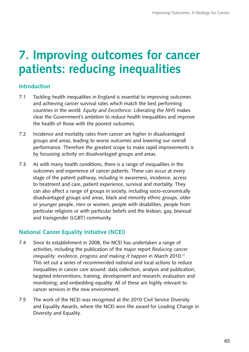# **7. Improving outcomes for cancer patients: reducing inequalities**

# **Introduction**

- 7.1 Tackling health inequalities in England is essential to improving outcomes and achieving cancer survival rates which match the best performing countries in the world. *Equity and Excellence: Liberating the NHS* makes clear the Government's ambition to reduce health inequalities and improve the health of those with the poorest outcomes.
- 7.2 Incidence and mortality rates from cancer are higher in disadvantaged groups and areas, leading to worse outcomes and lowering our overall performance. Therefore the greatest scope to make rapid improvements is by focussing activity on disadvantaged groups and areas.
- 7.3 As with many health conditions, there is a range of inequalities in the outcomes and experience of cancer patients. These can occur at every stage of the patient pathway, including in awareness, incidence, access to treatment and care, patient experience, survival and mortality. They can also affect a range of groups in society, including socio-economically disadvantaged groups and areas, black and minority ethnic groups, older or younger people, men or women, people with disabilities, people from particular religions or with particular beliefs and the lesbian, gay, bisexual and transgender (LGBT) community.

# **National Cancer Equality Initiative (NCEI)**

- 7.4 Since its establishment in 2008, the NCEI has undertaken a range of activities, including the publication of the major report *Reducing cancer*  inequality: evidence, progress and making *it happen* in March 2010.<sup>31</sup> This set out a series of recommended national and local actions to reduce inequalities in cancer care around: data collection, analysis and publication; targeted interventions; training, development and research; evaluation and monitoring; and embedding equality. All of these are highly relevant to cancer services in the new environment.
- 7.5 The work of the NCEI was recognised at the 2010 Civil Service Diversity and Equality Awards, where the NCEI won the award for Leading Change in Diversity and Equality.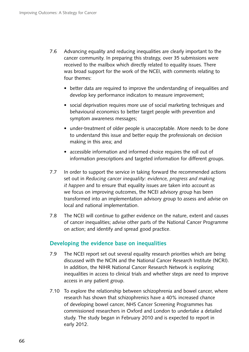- 7.6 Advancing equality and reducing inequalities are clearly important to the cancer community. In preparing this strategy, over 35 submissions were received to the mailbox which directly related to equality issues. There was broad support for the work of the NCEI, with comments relating to four themes:
	- better data are required to improve the understanding of inequalities and develop key performance indicators to measure improvement;
	- social deprivation requires more use of social marketing techniques and behavioural economics to better target people with prevention and symptom awareness messages;
	- under-treatment of older people is unacceptable. More needs to be done to understand this issue and better equip the professionals on decision making in this area; and
	- accessible information and informed choice requires the roll out of information prescriptions and targeted information for different groups.
- 7.7 In order to support the service in taking forward the recommended actions set out in *Reducing cancer inequality: evidence, progress and making it happen* and to ensure that equality issues are taken into account as we focus on improving outcomes, the NCEI advisory group has been transformed into an implementation advisory group to assess and advise on local and national implementation.
- 7.8 The NCEI will continue to gather evidence on the nature, extent and causes of cancer inequalities; advise other parts of the National Cancer Programme on action; and identify and spread good practice.

# **Developing the evidence base on inequalities**

- 7.9 The NCEI report set out several equality research priorities which are being discussed with the NCIN and the National Cancer Research Institute (NCRI). In addition, the NIHR National Cancer Research Network is exploring inequalities in access to clinical trials and whether steps are need to improve access in any patient group.
- 7.10 To explore the relationship between schizophrenia and bowel cancer, where research has shown that schizophrenics have a 40% increased chance of developing bowel cancer, NHS Cancer Screening Programmes has commissioned researchers in Oxford and London to undertake a detailed study. The study began in February 2010 and is expected to report in early 2012.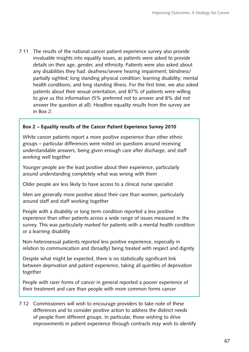7.11 The results of the national cancer patient experience survey also provide invaluable insights into equality issues, as patients were asked to provide details on their age, gender, and ethnicity. Patients were also asked about any disabilities they had: deafness/severe hearing impairment; blindness/ partially sighted; long standing physical condition; learning disability; mental health conditions; and long standing illness. For the first time, we also asked patients about their sexual orientation, and 87% of patients were willing to give us this information (5% preferred not to answer and 8% did not answer the question at all). Headline equality results from the survey are in Box 2:

### **Box 2 – Equality results of the Cancer Patient Experience Survey 2010**

White cancer patients report a more positive experience than other ethnic groups – particular differences were noted on questions around receiving understandable answers, being given enough care after discharge, and staff working well together

Younger people are the least positive about their experience, particularly around understanding completely what was wrong with them

Older people are less likely to have access to a clinical nurse specialist

Men are generally more positive about their care than women, particularly around staff and staff working together

People with a disability or long term condition reported a less positive experience than other patients across a wide range of issues measured in the survey. This was particularly marked for patients with a mental health condition or a learning disability

Non-heterosexual patients reported less positive experience, especially in relation to communication and (broadly) being treated with respect and dignity

Despite what might be expected, there is no statistically significant link between deprivation and patient experience, taking all quintiles of deprivation together

People with rarer forms of cancer in general reported a poorer experience of their treatment and care than people with more common forms cancer

7.12 Commissioners will wish to encourage providers to take note of these differences and to consider positive action to address the distinct needs of people from different groups. In particular, those wishing to drive improvements in patient experience through contracts may wish to identify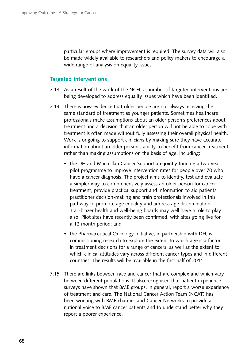particular groups where improvement is required. The survey data will also be made widely available to researchers and policy makers to encourage a wide range of analysis on equality issues.

### **Targeted interventions**

- 7.13 � As a result of the work of the NCEI, a number of targeted interventions are being developed to address equality issues which have been identified.
- 7.14 There is now evidence that older people are not always receiving the same standard of treatment as younger patients. Sometimes healthcare professionals make assumptions about an older person's preferences about treatment and a decision that an older person will not be able to cope with treatment is often made without fully assessing their overall physical health. Work is ongoing to support clinicians by making sure they have accurate information about an older person's ability to benefit from cancer treatment rather than making assumptions on the basis of age, including:
	- the DH and Macmillan Cancer Support are jointly funding a two year pilot programme to improve intervention rates for people over 70 who have a cancer diagnosis. The project aims to identify, test and evaluate a simpler way to comprehensively assess an older person for cancer treatment, provide practical support and information to aid patient/ practitioner decision-making and train professionals involved in this pathway to promote age equality and address age discrimination. Trail-blazer health and well-being boards may well have a role to play also. Pilot sites have recently been confirmed, with sites going live for a 12 month period; and
	- the Pharmaceutical Oncology Initiative, in partnership with DH, is commissioning research to explore the extent to which age is a factor in treatment decisions for a range of cancers, as well as the extent to which clinical attitudes vary across different cancer types and in different countries. The results will be available in the first half of 2011.
- 7.15 There are links between race and cancer that are complex and which vary between different populations. It also recognised that patient experience surveys have shown that BME groups, in general, report a worse experience of treatment and care. The National Cancer Action Team (NCAT) has been working with BME charities and Cancer Networks to provide a national voice to BME cancer patients and to understand better why they report a poorer experience.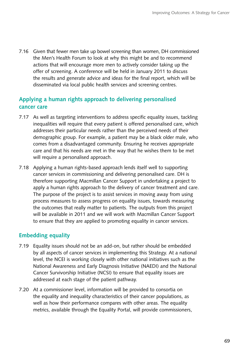7.16 Given that fewer men take up bowel screening than women, DH commissioned the Men's Health Forum to look at why this might be and to recommend actions that will encourage more men to actively consider taking up the offer of screening. A conference will be held in January 2011 to discuss the results and generate advice and ideas for the final report, which will be disseminated via local public health services and screening centres.

# **Applying a human rights approach to delivering personalised cancer care**

- 7.17 As well as targeting interventions to address specific equality issues, tackling inequalities will require that every patient is offered personalised care, which addresses their particular needs rather than the perceived needs of their demographic group. For example, a patient may be a black older male, who comes from a disadvantaged community. Ensuring he receives appropriate care and that his needs are met in the way that he wishes them to be met will require a personalised approach.
- 7.18 � Applying a human rights-based approach lends itself well to supporting cancer services in commissioning and delivering personalised care. DH is therefore supporting Macmillan Cancer Support in undertaking a project to apply a human rights approach to the delivery of cancer treatment and care. The purpose of the project is to assist services in moving away from using process measures to assess progress on equality issues, towards measuring the outcomes that really matter to patients. The outputs from this project will be available in 2011 and we will work with Macmillan Cancer Support to ensure that they are applied to promoting equality in cancer services.

## **Embedding equality**

- 7.19 Equality issues should not be an add-on, but rather should be embedded by all aspects of cancer services in implementing this Strategy. At a national level, the NCEI is working closely with other national initiatives such as the National Awareness and Early Diagnosis Initiative (NAEDI) and the National Cancer Survivorship Initiative (NCSI) to ensure that equality issues are addressed at each stage of the patient pathway.
- 7.20 At a commissioner level, information will be provided to consortia on the equality and inequality characteristics of their cancer populations, as well as how their performance compares with other areas. The equality metrics, available through the Equality Portal, will provide commissioners,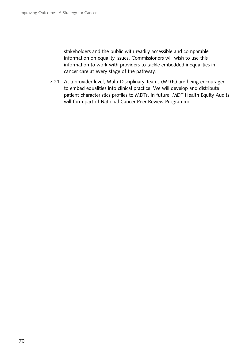stakeholders and the public with readily accessible and comparable information on equality issues. Commissioners will wish to use this information to work with providers to tackle embedded inequalities in cancer care at every stage of the pathway.

7.21 At a provider level, Multi-Disciplinary Teams (MDTs) are being encouraged to embed equalities into clinical practice. We will develop and distribute patient characteristics profiles to MDTs. In future, MDT Health Equity Audits will form part of National Cancer Peer Review Programme.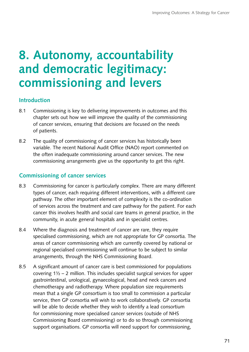# **8. Autonomy, accountability and democratic legitimacy: commissioning and levers**

## **Introduction**

- 8.1 Commissioning is key to delivering improvements in outcomes and this chapter sets out how we will improve the quality of the commissioning of cancer services, ensuring that decisions are focused on the needs of patients.
- 8.2 The quality of commissioning of cancer services has historically been variable. The recent National Audit Office (NAO) report commented on the often inadequate commissioning around cancer services. The new commissioning arrangements give us the opportunity to get this right.

## **Commissioning of cancer services**

- 8.3 Commissioning for cancer is particularly complex. There are many different types of cancer, each requiring different interventions, with a different care pathway. The other important element of complexity is the co-ordination of services across the treatment and care pathway for the patient. For each cancer this involves health and social care teams in general practice, in the community, in acute general hospitals and in specialist centres.
- 8.4 Where the diagnosis and treatment of cancer are rare, they require specialised commissioning, which are not appropriate for GP consortia. The areas of cancer commissioning which are currently covered by national or regional specialised commissioning will continue to be subject to similar arrangements, through the NHS Commissioning Board.
- 8.5 A significant amount of cancer care is best commissioned for populations covering 1½ – 2 million. This includes specialist surgical services for upper gastrointestinal, urological, gynaecological, head and neck cancers and chemotherapy and radiotherapy. Where population size requirements mean that a single GP consortium is too small to commission a particular service, then GP consortia will wish to work collaboratively. GP consortia will be able to decide whether they wish to identify a lead consortium for commissioning more specialised cancer services (outside of NHS Commissioning Board commissioning) or to do so through commissioning support organisations. GP consortia will need support for commissioning,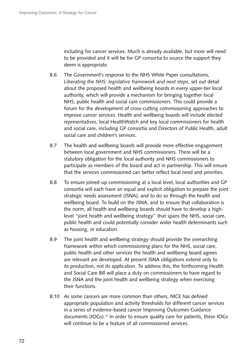including for cancer services. Much is already available, but more will need to be provided and it will be for GP consortia to source the support they deem is appropriate.

- 8.6 The Government's response to the NHS White Paper consultations, *Liberating the NHS: legislative framework and next steps*, set out detail about the proposed health and wellbeing boards in every upper-tier local authority, which will provide a mechanism for bringing together local NHS, public health and social care commissioners. This could provide a forum for the development of cross-cutting commissioning approaches to improve cancer services. Health and wellbeing boards will include elected representatives, local HealthWatch and key local commissioners for health and social care, including GP consortia and Directors of Public Health, adult social care and children's services.
- 8.7 The health and wellbeing boards will provide more effective engagement between local government and NHS commissioners. There will be a statutory obligation for the local authority and NHS commissioners to participate as members of the board and act in partnership. This will ensure that the services commissioned can better reflect local need and priorities.
- 8.8 To ensure joined-up commissioning at a local level, local authorities and GP consortia will each have an equal and explicit obligation to prepare the joint strategic needs assessment (JSNA), and to do so through the health and wellbeing board. To build on the JSNA, and to ensure that collaboration is the norm, all health and wellbeing boards should have to develop a highlevel "joint health and wellbeing strategy" that spans the NHS, social care, public health and could potentially consider wider health determinants such as housing, or education.
- 8.9 The joint health and wellbeing strategy should provide the overarching framework within which commissioning plans for the NHS, social care, public health and other services the health and wellbeing board agrees are relevant are developed. At present JSNA obligations extend only to its production, not its application. To address this, the forthcoming Health and Social Care Bill will place a duty on commissioners to have regard to the JSNA and the joint health and wellbeing strategy when exercising their functions.
- 8.10 As some cancers are more common than others, NICE has defined appropriate population and activity thresholds for different cancer services in a series of evidence-based cancer Improving Outcomes Guidance documents (IOGs).<sup>32</sup> In order to ensure quality care for patients, these IOGs will continue to be a feature of all commissioned services.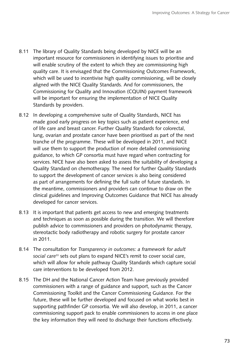- 8.11 The library of Quality Standards being developed by NICE will be an important resource for commissioners in identifying issues to prioritise and will enable scrutiny of the extent to which they are commissioning high quality care. It is envisaged that the Commissioning Outcomes Framework, which will be used to incentivise high quality commissioning, will be closely aligned with the NICE Quality Standards. And for commissioners, the Commissioning for Quality and Innovation (CQUIN) payment framework will be important for ensuring the implementation of NICE Quality Standards by providers.
- 8.12 In developing a comprehensive suite of Quality Standards, NICE has made good early progress on key topics such as patient experience, end of life care and breast cancer. Further Quality Standards for colorectal, lung, ovarian and prostate cancer have been prioritised as part of the next tranche of the programme. These will be developed in 2011, and NICE will use them to support the production of more detailed commissioning guidance, to which GP consortia must have regard when contracting for services. NICE have also been asked to assess the suitability of developing a Quality Standard on chemotherapy. The need for further Quality Standards to support the development of cancer services is also being considered as part of arrangements for defining the full suite of future standards. In the meantime, commissioners and providers can continue to draw on the clinical guidelines and Improving Outcomes Guidance that NICE has already developed for cancer services.
- 8.13 It is important that patients get access to new and emerging treatments and techniques as soon as possible during the transition. We will therefore publish advice to commissioners and providers on photodynamic therapy, stereotactic body radiotherapy and robotic surgery for prostate cancer in 2011.
- 8.14 � The consultation for *Transparency in outcomes: a framework for adult social care*33 sets out plans to expand NICE's remit to cover social care, which will allow for whole pathway Quality Standards which capture social care interventions to be developed from 2012.
- 8.15 The DH and the National Cancer Action Team have previously provided commissioners with a range of guidance and support, such as the Cancer Commissioning Toolkit and the Cancer Commissioning Guidance. For the future, these will be further developed and focused on what works best in supporting pathfinder GP consortia. We will also develop, in 2011, a cancer commissioning support pack to enable commissioners to access in one place the key information they will need to discharge their functions effectively.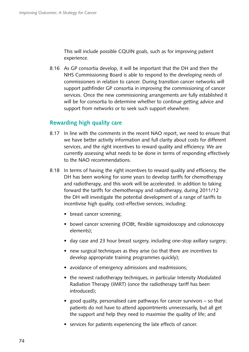This will include possible CQUIN goals, such as for improving patient experience.

8.16 As GP consortia develop, it will be important that the DH and then the NHS Commissioning Board is able to respond to the developing needs of commissioners in relation to cancer. During transition cancer networks will support pathfinder GP consortia in improving the commissioning of cancer services. Once the new commissioning arrangements are fully established it will be for consortia to determine whether to continue getting advice and support from networks or to seek such support elsewhere.

## **Rewarding high quality care**

- 8.17 In line with the comments in the recent NAO report, we need to ensure that we have better activity information and full clarity about costs for different services, and the right incentives to reward quality and efficiency. We are currently assessing what needs to be done in terms of responding effectively to the NAO recommendations.
- 8.18 In terms of having the right incentives to reward quality and efficiency, the DH has been working for some years to develop tariffs for chemotherapy and radiotherapy, and this work will be accelerated. In addition to taking forward the tariffs for chemotherapy and radiotherapy, during 2011/12 the DH will investigate the potential development of a range of tariffs to incentivise high quality, cost-effective services, including:
	- breast cancer screening;
	- bowel cancer screening (FOBt, flexible sigmoidoscopy and colonoscopy elements);
	- day case and 23 hour breast surgery, including one-stop axillary surgery;
	- new surgical techniques as they arise (so that there are incentives to develop appropriate training programmes quickly);
	- avoidance of emergency admissions and readmissions;
	- the newest radiotherapy techniques, in particular Intensity Modulated Radiation Therapy (IMRT) (once the radiotherapy tariff has been introduced);
	- good quality, personalised care pathways for cancer survivors  $-$  so that patients do not have to attend appointments unnecessarily, but all get the support and help they need to maximise the quality of life; and
	- services for patients experiencing the late effects of cancer.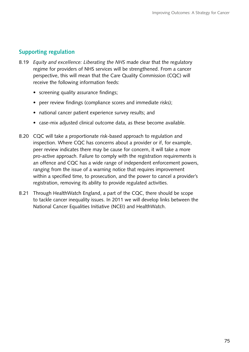# **Supporting regulation**

- 8.19 � *Equity and excellence: Liberating the NHS* made clear that the regulatory regime for providers of NHS services will be strengthened. From a cancer perspective, this will mean that the Care Quality Commission (CQC) will receive the following information feeds:
	- screening quality assurance findings;
	- peer review findings (compliance scores and immediate risks);
	- national cancer patient experience survey results; and
	- case-mix adjusted clinical outcome data, as these become available.
- 8.20 CQC will take a proportionate risk-based approach to regulation and inspection. Where CQC has concerns about a provider or if, for example, peer review indicates there may be cause for concern, it will take a more pro-active approach. Failure to comply with the registration requirements is an offence and CQC has a wide range of independent enforcement powers, ranging from the issue of a warning notice that requires improvement within a specified time, to prosecution, and the power to cancel a provider's registration, removing its ability to provide regulated activities.
- 8.21 Through HealthWatch England, a part of the CQC, there should be scope to tackle cancer inequality issues. In 2011 we will develop links between the National Cancer Equalities Initiative (NCEI) and HealthWatch.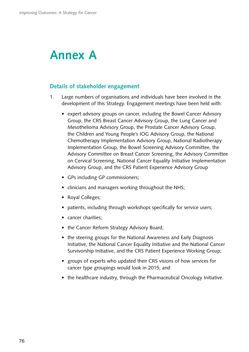# **Annex A**

## **Details of stakeholder engagement**

- 1. Large numbers of organisations and individuals have been involved in the development of this Strategy. Engagement meetings have been held with:
	- expert advisory groups on cancer, including the Bowel Cancer Advisory Group, the CRS Breast Cancer Advisory Group, the Lung Cancer and Mesothelioma Advisory Group, the Prostate Cancer Advisory Group, the Children and Young People's IOG Advisory Group, the National Chemotherapy Implementation Advisory Group, National Radiotherapy Implementation Group, the Bowel Screening Advisory Committee, the Advisory Committee on Breast Cancer Screening, the Advisory Committee on Cervical Screening, National Cancer Equality Initiative Implementation Advisory Group, and the CRS Patient Experience Advisory Group
	- GPs including GP commissioners;
	- clinicians and managers working throughout the NHS;
	- Royal Colleges;
	- patients, including through workshops specifically for service users;
	- cancer charities;
	- the Cancer Reform Strategy Advisory Board;
	- the steering groups for the National Awareness and Early Diagnosis Initiative, the National Cancer Equality Initiative and the National Cancer Survivorship Initiative, and the CRS Patient Experience Working Group;
	- groups of experts who updated their CRS visions of how services for cancer type groupings would look in 2015; and
	- the healthcare industry, through the Pharmaceutical Oncology Initiative.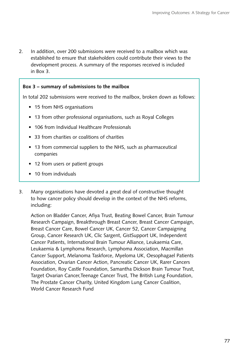2. In addition, over 200 submissions were received to a mailbox which was established to ensure that stakeholders could contribute their views to the development process. A summary of the responses received is included in Box 3.

## **Box 3 – summary of submissions to the mailbox**

In total 202 submissions were received to the mailbox, broken down as follows:

- 15 from NHS organisations
- 13 from other professional organisations, such as Royal Colleges
- 106 from Individual Healthcare Professionals
- 33 from charities or coalitions of charities
- 13 from commercial suppliers to the NHS, such as pharmaceutical companies
- 12 from users or patient groups
- 10 from individuals
- 3. Many organisations have devoted a great deal of constructive thought to how cancer policy should develop in the context of the NHS reforms, including:

Action on Bladder Cancer, Afiya Trust, Beating Bowel Cancer, Brain Tumour Research Campaign, Breakthrough Breast Cancer, Breast Cancer Campaign, Breast Cancer Care, Bowel Cancer UK, Cancer 52, Cancer Campaigning Group, Cancer Research UK, Clic Sargent, GistSupport UK, Independent Cancer Patients, International Brain Tumour Alliance, Leukaemia Care, Leukaemia & Lymphoma Research, Lymphoma Association, Macmillan Cancer Support, Melanoma Taskforce, Myeloma UK, Oesophagael Patients Association, Ovarian Cancer Action, Pancreatic Cancer UK, Rarer Cancers Foundation, Roy Castle Foundation, Samantha Dickson Brain Tumour Trust, Target Ovarian Cancer,Teenage Cancer Trust, The British Lung Foundation, The Prostate Cancer Charity, United Kingdom Lung Cancer Coalition, World Cancer Research Fund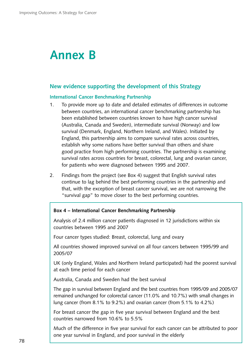# **Annex B**

## **New evidence supporting the development of this Strategy**

#### **International Cancer Benchmarking Partnership**

- 1. To provide more up to date and detailed estimates of differences in outcome between countries, an international cancer benchmarking partnership has been established between countries known to have high cancer survival (Australia, Canada and Sweden), intermediate survival (Norway) and low survival (Denmark, England, Northern Ireland, and Wales). Initiated by England, this partnership aims to compare survival rates across countries, establish why some nations have better survival than others and share good practice from high performing countries. The partnership is examining survival rates across countries for breast, colorectal, lung and ovarian cancer, for patients who were diagnosed between 1995 and 2007.
- 2. Findings from the project (see Box 4) suggest that English survival rates continue to lag behind the best performing countries in the partnership and that, with the exception of breast cancer survival, we are not narrowing the "survival gap" to move closer to the best performing countries.

### **Box 4 – International Cancer Benchmarking Partnership**

Analysis of 2.4 million cancer patients diagnosed in 12 jurisdictions within six countries between 1995 and 2007

Four cancer types studied: Breast, colorectal, lung and ovary

 All countries showed improved survival on all four cancers between 1995/99 and 2005/07

UK (only England, Wales and Northern Ireland participated) had the poorest survival at each time period for each cancer

Australia, Canada and Sweden had the best survival

 The gap in survival between England and the best countries from 1995/09 and 2005/07 remained unchanged for colorectal cancer (11.0% and 10.7%) with small changes in lung cancer (from 8.1% to 9.2%) and ovarian cancer (from 5.1% to 4.2%)

For breast cancer the gap in five year survival between England and the best countries narrowed from 10.6% to 5.5%

Much of the difference in five year survival for each cancer can be attributed to poor one year survival in England, and poor survival in the elderly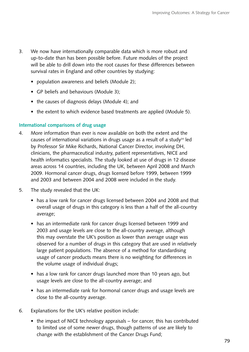- 3. We now have internationally comparable data which is more robust and up-to-date than has been possible before. Future modules of the project will be able to drill down into the root causes for these differences between survival rates in England and other countries by studying:
	- population awareness and beliefs (Module 2);
	- GP beliefs and behaviours (Module 3);
	- the causes of diagnosis delays (Module 4); and
	- the extent to which evidence based treatments are applied (Module 5).

## **International comparisons of drug usage**

- 4. � More information than ever is now available on both the extent and the causes of international variations in drugs usage as a result of a study<sup>34</sup> led by Professor Sir Mike Richards, National Cancer Director, involving DH, clinicians, the pharmaceutical industry, patient representatives, NICE and health informatics specialists. The study looked at use of drugs in 12 disease areas across 14 countries, including the UK, between April 2008 and March 2009. Hormonal cancer drugs, drugs licensed before 1999, between 1999 and 2003 and between 2004 and 2008 were included in the study.
- 5. The study revealed that the UK:
	- has a low rank for cancer drugs licensed between 2004 and 2008 and that overall usage of drugs in this category is less than a half of the all-country average;
	- has an intermediate rank for cancer drugs licensed between 1999 and 2003 and usage levels are close to the all-country average, although this may overstate the UK's position as lower than average usage was observed for a number of drugs in this category that are used in relatively large patient populations. The absence of a method for standardising usage of cancer products means there is no weighting for differences in the volume usage of individual drugs;
	- has a low rank for cancer drugs launched more than 10 years ago, but usage levels are close to the all-country average; and
	- has an intermediate rank for hormonal cancer drugs and usage levels are close to the all-country average.
- 6. Explanations for the UK's relative position include:
	- $\bullet$  the impact of NICE technology appraisals for cancer, this has contributed to limited use of some newer drugs, though patterns of use are likely to change with the establishment of the Cancer Drugs Fund;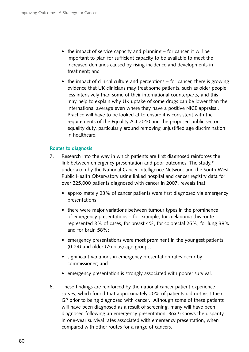- the impact of service capacity and planning  $-$  for cancer, it will be important to plan for sufficient capacity to be available to meet the increased demands caused by rising incidence and developments in treatment; and
- $\bullet$  the impact of clinical culture and perceptions for cancer, there is growing evidence that UK clinicians may treat some patients, such as older people, less intensively than some of their international counterparts, and this may help to explain why UK uptake of some drugs can be lower than the international average even where they have a positive NICE appraisal. Practice will have to be looked at to ensure it is consistent with the requirements of the Equality Act 2010 and the proposed public sector equality duty, particularly around removing unjustified age discrimination in healthcare.

## **Routes to diagnosis**

- 7. Research into the way in which patients are first diagnosed reinforces the link between emergency presentation and poor outcomes. The study,<sup>35</sup> undertaken by the National Cancer Intelligence Network and the South West Public Health Observatory using linked hospital and cancer registry data for over 225,000 patients diagnosed with cancer in 2007, reveals that:
	- approximately 23% of cancer patients were first diagnosed via emergency presentations;
	- there were major variations between tumour types in the prominence of emergency presentations – for example, for melanoma this route represented 3% of cases, for breast 4%, for colorectal 25%, for lung 38% and for brain 58%;
	- emergency presentations were most prominent in the youngest patients (0-24) and older (75 plus) age groups;
	- significant variations in emergency presentation rates occur by commissioner; and
	- emergency presentation is strongly associated with poorer survival.
- GP prior to being diagnosed with cancer. Although some of these patients 8. These findings are reinforced by the national cancer patient experience survey, which found that approximately 20% of patients did not visit their will have been diagnosed as a result of screening, many will have been diagnosed following an emergency presentation. Box 5 shows the disparity in one-year survival rates associated with emergency presentation, when compared with other routes for a range of cancers.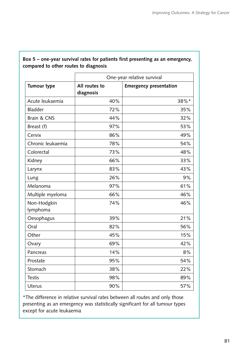|                         |                            | One-year relative survival    |  |
|-------------------------|----------------------------|-------------------------------|--|
| <b>Tumour type</b>      | All routes to<br>diagnosis | <b>Emergency presentation</b> |  |
| Acute leukaemia         | 40%                        | 38%*                          |  |
| <b>Bladder</b>          | 72%                        | 35%                           |  |
| Brain & CNS             | 44%                        | 32%                           |  |
| Breast (f)              | 97%                        | 53%                           |  |
| Cervix                  | 86%                        | 49%                           |  |
| Chronic leukaemia       | 78%                        | 54%                           |  |
| Colorectal              | 73%                        | 48%                           |  |
| Kidney                  | 66%                        | 33%                           |  |
| Larynx                  | 83%                        | 43%                           |  |
| Lung                    | 26%                        | 9%                            |  |
| Melanoma                | 97%                        | 61%                           |  |
| Multiple myeloma        | 66%                        | 46%                           |  |
| Non-Hodgkin<br>lymphoma | 74%                        | 46%                           |  |
| Oesophagus              | 39%                        | 21%                           |  |
| Oral                    | 82%                        | 56%                           |  |
| Other                   | 45%                        | 15%                           |  |
| Ovary                   | 69%                        | 42%                           |  |
| Pancreas                | 14%                        | 8%                            |  |
| Prostate                | 95%                        | 54%                           |  |
| Stomach                 | 38%                        | 22%                           |  |
| <b>Testis</b>           | 98%                        | 89%                           |  |
| Uterus                  | 90%                        | 57%                           |  |

## **Box 5 – one-year survival rates for patients first presenting as an emergency, compared to other routes to diagnosis**

\*The difference in relative survival rates between all routes and only those presenting as an emergency was statistically significant for all tumour types except for acute leukaemia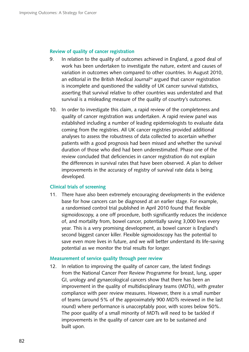#### **Review of quality of cancer registration**

- 9. In relation to the quality of outcomes achieved in England, a good deal of work has been undertaken to investigate the nature, extent and causes of variation in outcomes when compared to other countries. In August 2010, an editorial in the British Medical Journal<sup>36</sup> argued that cancer registration is incomplete and questioned the validity of UK cancer survival statistics, asserting that survival relative to other countries was understated and that survival is a misleading measure of the quality of country's outcomes.
- 10. In order to investigate this claim, a rapid review of the completeness and quality of cancer registration was undertaken. A rapid review panel was established including a number of leading epidemiologists to evaluate data coming from the registries. All UK cancer registries provided additional analyses to assess the robustness of data collected to ascertain whether patients with a good prognosis had been missed and whether the survival duration of those who died had been underestimated. Phase one of the review concluded that deficiencies in cancer registration do not explain the differences in survival rates that have been observed. A plan to deliver improvements in the accuracy of registry of survival rate data is being developed.

#### **Clinical trials of screening**

11. There have also been extremely encouraging developments in the evidence base for how cancers can be diagnosed at an earlier stage. For example, a randomised control trial published in April 2010 found that flexible sigmoidoscopy, a one off procedure, both significantly reduces the incidence of, and mortality from, bowel cancer, potentially saving 3,000 lives every year. This is a very promising development, as bowel cancer is England's second biggest cancer killer. Flexible sigmoidoscopy has the potential to save even more lives in future, and we will better understand its life-saving potential as we monitor the trial results for longer.

#### **Measurement of service quality through peer review**

12. In relation to improving the quality of cancer care, the latest findings from the National Cancer Peer Review Programme for breast, lung, upper GI, urology and gynaecological cancers show that there has been an improvement in the quality of multidisciplinary teams (MDTs), with greater compliance with peer review measures. However, there is a small number of teams (around 5% of the approximately 900 MDTs reviewed in the last round) where performance is unacceptably poor, with scores below 50%. The poor quality of a small minority of MDTs will need to be tackled if improvements in the quality of cancer care are to be sustained and built upon.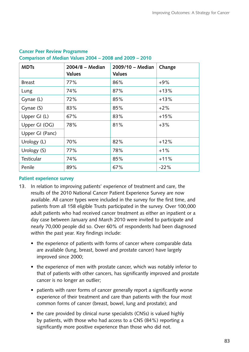| <b>MDTs</b>       | $2004/8$ – Median<br><b>Values</b> | 2009/10 - Median<br><b>Values</b> | Change |
|-------------------|------------------------------------|-----------------------------------|--------|
| <b>Breast</b>     | 77%                                | 86%                               | $+9%$  |
| Lung              | 74%                                | 87%                               | $+13%$ |
| Gynae (L)         | 72%                                | 85%                               | $+13%$ |
| Gynae (S)         | 83%                                | 85%                               | $+2%$  |
| Upper GI (L)      | 67%                                | 83%                               | $+15%$ |
| Upper GI (OG)     | 78%                                | 81%                               | $+3%$  |
| Upper GI (Panc)   |                                    |                                   |        |
| Urology (L)       | 70%                                | 82%                               | $+12%$ |
| Urology (S)       | 77%                                | 78%                               | $+1%$  |
| <b>Testicular</b> | 74%                                | 85%                               | $+11%$ |
| Penile            | 89%                                | 67%                               | $-22%$ |

## **Cancer Peer Review Programme Comparison of Median Values 2004 – 2008 and 2009 – 2010**

## **Patient experience survey**

- 13. In relation to improving patients' experience of treatment and care, the results of the 2010 National Cancer Patient Experience Survey are now available. All cancer types were included in the survey for the first time, and patients from all 158 eligible Trusts participated in the survey. Over 100,000 adult patients who had received cancer treatment as either an inpatient or a day case between January and March 2010 were invited to participate and nearly 70,000 people did so. Over 60% of respondents had been diagnosed within the past year. Key findings include:
	- the experience of patients with forms of cancer where comparable data are available (lung, breast, bowel and prostate cancer) have largely improved since 2000;
	- the experience of men with prostate cancer, which was notably inferior to that of patients with other cancers, has significantly improved and prostate cancer is no longer an outlier;
	- patients with rarer forms of cancer generally report a significantly worse experience of their treatment and care than patients with the four most common forms of cancer (breast, bowel, lung and prostate); and
	- the care provided by clinical nurse specialists (CNSs) is valued highly by patients, with those who had access to a CNS (84%) reporting a significantly more positive experience than those who did not.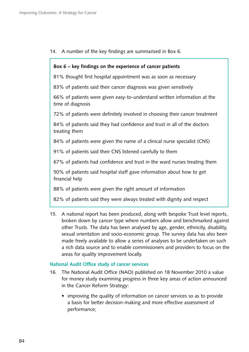14. A number of the key findings are summarised in Box 6.

### **Box 6 – key findings on the experience of cancer patients**

81% thought first hospital appointment was as soon as necessary

83% of patients said their cancer diagnosis was given sensitively

66% of patients were given easy-to-understand written information at the time of diagnosis

72% of patients were definitely involved in choosing their cancer treatment

84% of patients said they had confidence and trust in all of the doctors treating them

84% of patients were given the name of a clinical nurse specialist (CNS)

91% of patients said their CNS listened carefully to them

67% of patients had confidence and trust in the ward nurses treating them

50% of patients said hospital staff gave information about how to get financial help

88% of patients were given the right amount of information

82% of patients said they were always treated with dignity and respect

15. A national report has been produced, along with bespoke Trust level reports, broken down by cancer type where numbers allow and benchmarked against other Trusts. The data has been analysed by age, gender, ethnicity, disability, sexual orientation and socio-economic group. The survey data has also been made freely available to allow a series of analyses to be undertaken on such a rich data source and to enable commissioners and providers to focus on the areas for quality improvement locally.

## **National Audit Office study of cancer services**

- 16. The National Audit Office (NAO) published on 18 November 2010 a value for money study examining progress in three key areas of action announced in the Cancer Reform Strategy:
	- improving the quality of information on cancer services so as to provide a basis for better decision-making and more effective assessment of performance;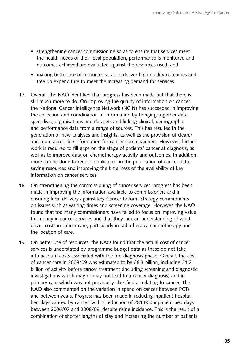- strengthening cancer commissioning so as to ensure that services meet the health needs of their local population, performance is monitored and outcomes achieved are evaluated against the resources used; and
- making better use of resources so as to deliver high quality outcomes and free up expenditure to meet the increasing demand for services.
- 17. Overall, the NAO identified that progress has been made but that there is still much more to do. On improving the quality of information on cancer, the National Cancer Intelligence Network (NCIN) has succeeded in improving the collection and coordination of information by bringing together data specialists, organisations and datasets and linking clinical, demographic and performance data from a range of sources. This has resulted in the generation of new analyses and insights, as well as the provision of clearer and more accessible information for cancer commissioners. However, further work is required to fill gaps on the stage of patients' cancer at diagnosis, as well as to improve data on chemotherapy activity and outcomes. In addition, more can be done to reduce duplication in the publication of cancer data, saving resources and improving the timeliness of the availability of key information on cancer services.
- 18. On strengthening the commissioning of cancer services, progress has been made in improving the information available to commissioners and in ensuring local delivery against key Cancer Reform Strategy commitments on issues such as waiting times and screening coverage. However, the NAO found that too many commissioners have failed to focus on improving value for money in cancer services and that they lack an understanding of what drives costs in cancer care, particularly in radiotherapy, chemotherapy and the location of care.
- 19. On better use of resources, the NAO found that the actual cost of cancer services is understated by programme budget data as these do not take into account costs associated with the pre-diagnosis phase. Overall, the cost of cancer care in 2008/09 was estimated to be £6.3 billion, including £1.2 billion of activity before cancer treatment (including screening and diagnostic investigations which may or may not lead to a cancer diagnosis) and in primary care which was not previously classified as relating to cancer. The NAO also commented on the variation in spend on cancer between PCTs and between years. Progress has been made in reducing inpatient hospital bed days caused by cancer, with a reduction of 281,000 inpatient bed days between 2006/07 and 2008/09, despite rising incidence. This is the result of a combination of shorter lengths of stay and increasing the number of patients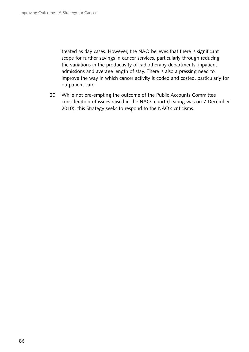treated as day cases. However, the NAO believes that there is significant scope for further savings in cancer services, particularly through reducing the variations in the productivity of radiotherapy departments, inpatient admissions and average length of stay. There is also a pressing need to improve the way in which cancer activity is coded and costed, particularly for outpatient care.

20. While not pre-empting the outcome of the Public Accounts Committee consideration of issues raised in the NAO report (hearing was on 7 December 2010), this Strategy seeks to respond to the NAO's criticisms.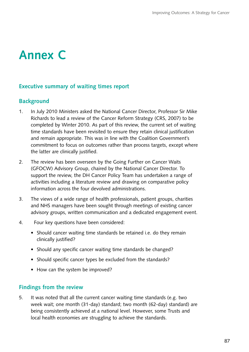# **Annex C**

## **Executive summary of waiting times report**

# **Background**

- 1. In July 2010 Ministers asked the National Cancer Director, Professor Sir Mike Richards to lead a review of the Cancer Reform Strategy (CRS, 2007) to be completed by Winter 2010. As part of this review, the current set of waiting time standards have been revisited to ensure they retain clinical justification and remain appropriate. This was in line with the Coalition Government's commitment to focus on outcomes rather than process targets, except where the latter are clinically justified.
- 2. The review has been overseen by the Going Further on Cancer Waits (GFOCW) Advisory Group, chaired by the National Cancer Director. To support the review, the DH Cancer Policy Team has undertaken a range of activities including a literature review and drawing on comparative policy information across the four devolved administrations.
- 3. The views of a wide range of health professionals, patient groups, charities and NHS managers have been sought through meetings of existing cancer advisory groups, written communication and a dedicated engagement event.
- 4. Four key questions have been considered:
	- Should cancer waiting time standards be retained i.e. do they remain clinically justified?
	- Should any specific cancer waiting time standards be changed?
	- Should specific cancer types be excluded from the standards?
	- How can the system be improved?

## **Findings from the review**

5. It was noted that all the current cancer waiting time standards (e.g. two week wait; one month (31-day) standard; two month (62-day) standard) are being consistently achieved at a national level. However, some Trusts and local health economies are struggling to achieve the standards.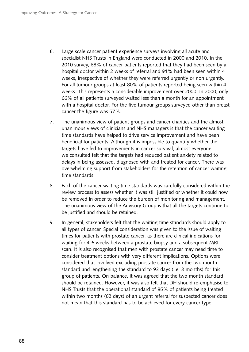- 6. � Large scale cancer patient experience surveys involving all acute and specialist NHS Trusts in England were conducted in 2000 and 2010. In the 2010 survey, 68% of cancer patients reported that they had been seen by a hospital doctor within 2 weeks of referral and 91% had been seen within 4 weeks, irrespective of whether they were referred urgently or non urgently. For all tumour groups at least 80% of patients reported being seen within 4 weeks. This represents a considerable improvement over 2000. In 2000, only 66% of all patients surveyed waited less than a month for an appointment with a hospital doctor. For the five tumour groups surveyed other than breast cancer the figure was 57%.
- 7. The unanimous view of patient groups and cancer charities and the almost unanimous views of clinicians and NHS managers is that the cancer waiting time standards have helped to drive service improvement and have been beneficial for patients. Although it is impossible to quantify whether the targets have led to improvements in cancer survival, almost everyone we consulted felt that the targets had reduced patient anxiety related to delays in being assessed, diagnosed with and treated for cancer. There was overwhelming support from stakeholders for the retention of cancer waiting time standards.
- 8. Each of the cancer waiting time standards was carefully considered within the review process to assess whether it was still justified or whether it could now be removed in order to reduce the burden of monitoring and management. The unanimous view of the Advisory Group is that all the targets continue to be justified and should be retained.
- 9. In general, stakeholders felt that the waiting time standards should apply to all types of cancer. Special consideration was given to the issue of waiting times for patients with prostate cancer, as there are clinical indications for waiting for 4-6 weeks between a prostate biopsy and a subsequent MRI scan. It is also recognised that men with prostate cancer may need time to consider treatment options with very different implications. Options were considered that involved excluding prostate cancer from the two month standard and lengthening the standard to 93 days (i.e. 3 months) for this group of patients. On balance, it was agreed that the two month standard should be retained. However, it was also felt that DH should re-emphasise to NHS Trusts that the operational standard of 85% of patients being treated within two months (62 days) of an urgent referral for suspected cancer does not mean that this standard has to be achieved for every cancer type.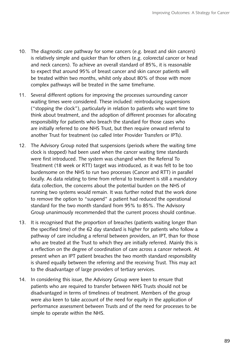- 10. The diagnostic care pathway for some cancers (e.g. breast and skin cancers) is relatively simple and quicker than for others (e.g. colorectal cancer or head and neck cancers). To achieve an overall standard of 85%, it is reasonable to expect that around 95% of breast cancer and skin cancer patients will be treated within two months, whilst only about 80% of those with more complex pathways will be treated in the same timeframe.
- 11. Several different options for improving the processes surrounding cancer waiting times were considered. These included: reintroducing suspensions ("stopping the clock"), particularly in relation to patients who want time to think about treatment, and the adoption of different processes for allocating responsibility for patients who breach the standard for those cases who are initially referred to one NHS Trust, but then require onward referral to another Trust for treatment (so called Inter Provider Transfers or IPTs).
- 12. The Advisory Group noted that suspensions (periods where the waiting time clock is stopped) had been used when the cancer waiting time standards were first introduced. The system was changed when the Referral To Treatment (18 week or RTT) target was introduced, as it was felt to be too burdensome on the NHS to run two processes (Cancer and RTT) in parallel locally. As data relating to time from referral to treatment is still a mandatory data collection, the concerns about the potential burden on the NHS of running two systems would remain. It was further noted that the work done to remove the option to "suspend" a patient had reduced the operational standard for the two month standard from 95% to 85%. The Advisory Group unanimously recommended that the current process should continue.
- 13. It is recognised that the proportion of breaches (patients waiting longer than the specified time) of the 62 day standard is higher for patients who follow a pathway of care including a referral between providers, an IPT, than for those who are treated at the Trust to which they are initially referred. Mainly this is a reflection on the degree of coordination of care across a cancer network. At present when an IPT patient breaches the two month standard responsibility is shared equally between the referring and the receiving Trust. This may act to the disadvantage of large providers of tertiary services.
- 14. In considering this issue, the Advisory Group were keen to ensure that patients who are required to transfer between NHS Trusts should not be disadvantaged in terms of timeliness of treatment. Members of the group were also keen to take account of the need for equity in the application of performance assessment between Trusts and of the need for processes to be simple to operate within the NHS.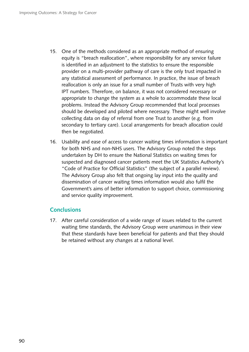- 15. One of the methods considered as an appropriate method of ensuring equity is "breach reallocation", where responsibility for any service failure is identified in an adjustment to the statistics to ensure the responsible provider on a multi-provider pathway of care is the only trust impacted in any statistical assessment of performance. In practice, the issue of breach reallocation is only an issue for a small number of Trusts with very high IPT numbers. Therefore, on balance, it was not considered necessary or appropriate to change the system as a whole to accommodate these local problems. Instead the Advisory Group recommended that local processes should be developed and piloted where necessary. These might well involve collecting data on day of referral from one Trust to another (e.g. from secondary to tertiary care). Local arrangements for breach allocation could then be negotiated.
- 16. Usability and ease of access to cancer waiting times information is important for both NHS and non-NHS users. The Advisory Group noted the steps undertaken by DH to ensure the National Statistics on waiting times for suspected and diagnosed cancer patients meet the UK Statistics Authority's "Code of Practice for Official Statistics" (the subject of a parallel review). The Advisory Group also felt that ongoing lay input into the quality and dissemination of cancer waiting times information would also fulfil the Government's aims of better information to support choice, commissioning and service quality improvement.

## **Conclusions**

17. After careful consideration of a wide range of issues related to the current waiting time standards, the Advisory Group were unanimous in their view that these standards have been beneficial for patients and that they should be retained without any changes at a national level.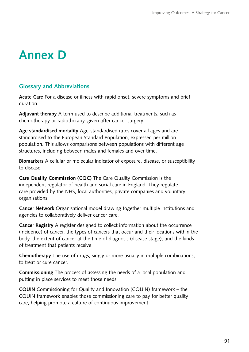# **Annex D**

## **Glossary and Abbreviations**

**Acute Care** For a disease or illness with rapid onset, severe symptoms and brief duration.

**Adjuvant therapy** A term used to describe additional treatments, such as chemotherapy or radiotherapy, given after cancer surgery.

**Age standardised mortality** Age-standardised rates cover all ages and are standardised to the European Standard Population, expressed per million population. This allows comparisons between populations with different age structures, including between males and females and over time.

**Biomarkers** A cellular or molecular indicator of exposure, disease, or susceptibility to disease.

**Care Quality Commission (CQC)** The Care Quality Commission is the independent regulator of health and social care in England. They regulate care provided by the NHS, local authorities, private companies and voluntary organisations.

**Cancer Network** Organisational model drawing together multiple institutions and agencies to collaboratively deliver cancer care.

**Cancer Registry** A register designed to collect information about the occurrence (incidence) of cancer, the types of cancers that occur and their locations within the body, the extent of cancer at the time of diagnosis (disease stage), and the kinds of treatment that patients receive.

**Chemotherapy** The use of drugs, singly or more usually in multiple combinations, to treat or cure cancer.

**Commissioning** The process of assessing the needs of a local population and putting in place services to meet those needs.

**CQUIN** Commissioning for Quality and Innovation (CQUIN) framework – the CQUIN framework enables those commissioning care to pay for better quality care, helping promote a culture of continuous improvement.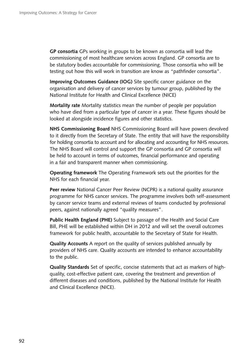**GP consortia** GPs working in groups to be known as consortia will lead the commissioning of most healthcare services across England. GP consortia are to be statutory bodies accountable for commissioning. Those consortia who will be testing out how this will work in transition are know as "pathfinder consortia".

**Improving Outcomes Guidance (IOG)** Site specific cancer guidance on the organisation and delivery of cancer services by tumour group, published by the National Institute for Health and Clinical Excellence (NICE)

**Mortality rate** Mortality statistics mean the number of people per population who have died from a particular type of cancer in a year. These figures should be looked at alongside incidence figures and other statistics.

 for holding consortia to account and for allocating and accounting for NHS resources. **NHS Commissioning Board** NHS Commissioning Board will have powers devolved to it directly from the Secretary of State. The entity that will have the responsibility The NHS Board will control and support the GP consortia and GP consortia will be held to account in terms of outcomes, financial performance and operating in a fair and transparent manner when commissioning.

**Operating framework** The Operating Framework sets out the priorities for the NHS for each financial year.

**Peer review** National Cancer Peer Review (NCPR) is a national quality assurance programme for NHS cancer services. The programme involves both self-assessment by cancer service teams and external reviews of teams conducted by professional peers, against nationally agreed "quality measures".

**Public Health England (PHE)** Subject to passage of the Health and Social Care Bill, PHE will be established within DH in 2012 and will set the overall outcomes framework for public health, accountable to the Secretary of State for Health.

**Quality Accounts** A report on the quality of services published annually by providers of NHS care. Quality accounts are intended to enhance accountability to the public.

**Quality Standards** Set of specific, concise statements that act as markers of highquality, cost-effective patient care, covering the treatment and prevention of different diseases and conditions, published by the National Institute for Health and Clinical Excellence (NICE).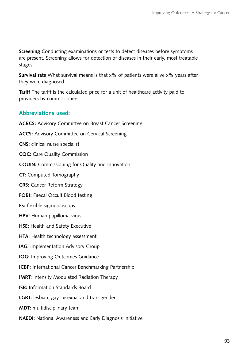**Screening** Conducting examinations or tests to detect diseases before symptoms are present. Screening allows for detection of diseases in their early, most treatable stages.

**Survival rate** What survival means is that x% of patients were alive x% years after they were diagnosed.

**Tariff** The tariff is the calculated price for a unit of healthcare activity paid to providers by commissioners.

# **Abbreviations used:**

**ACBCS:** Advisory Committee on Breast Cancer Screening **ACCS:** Advisory Committee on Cervical Screening **CNS:** clinical nurse specialist **CQC:** Care Quality Commission **CQUIN:** Commissioning for Quality and Innovation **CT:** Computed Tomography **CRS:** Cancer Reform Strategy **FOBt:** Faecal Occult Blood testing **FS:** flexible sigmoidoscopy **HPV:** Human papilloma virus **HSE:** Health and Safety Executive **HTA:** Health technology assessment **IAG: Implementation Advisory Group IOG:** Improving Outcomes Guidance **ICBP:** International Cancer Benchmarking Partnership **IMRT:** Intensity Modulated Radiation Therapy **ISB:** Information Standards Board **LGBT:** lesbian, gay, bisexual and transgender **MDT:** multidisciplinary team

**NAEDI:** National Awareness and Early Diagnosis Initiative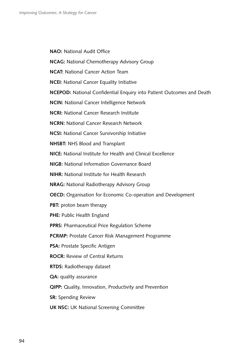**NAO:** National Audit Office

**NCAG:** National Chemotherapy Advisory Group

**NCAT:** National Cancer Action Team

**NCEI:** National Cancer Equality Initiative

**NCEPOD:** National Confidential Enquiry into Patient Outcomes and Death

**NCIN:** National Cancer Intelligence Network

**NCRI:** National Cancer Research Institute

**NCRN:** National Cancer Research Network

**NCSI:** National Cancer Survivorship Initiative

**NHSBT:** NHS Blood and Transplant

**NICE:** National Institute for Health and Clinical Excellence

**NIGB:** National Information Governance Board

**NIHR:** National Institute for Health Research

**NRAG:** National Radiotherapy Advisory Group

**OECD:** Organisation for Economic Co-operation and Development

**PBT:** proton beam therapy

**PHE:** Public Health England

**PPRS:** Pharmaceutical Price Regulation Scheme

**PCRMP:** Prostate Cancer Risk Management Programme

**PSA:** Prostate Specific Antigen

**ROCR:** Review of Central Returns

**RTDS:** Radiotherapy dataset

**QA:** quality assurance

**QIPP:** Quality, Innovation, Productivity and Prevention

**SR:** Spending Review

**UK NSC:** UK National Screening Committee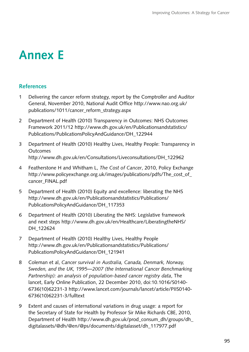# **Annex E**

# **References**

- 1 Delivering the cancer reform strategy, report by the Comptroller and Auditor General, November 2010, National Audit Office http://www.nao.org.uk/ publications/1011/cancer\_reform\_strategy.aspx
- 2 Department of Health (2010) Transparency in Outcomes: NHS Outcomes Framework 2011/12 http://www.dh.gov.uk/en/Publicationsandstatistics/ Publications/PublicationsPolicyAndGuidance/DH\_122944
- 3 � Department of Health (2010) Healthy Lives, Healthy People: Transparency in **Outcomes** http://www.dh.gov.uk/en/Consultations/Liveconsultations/DH\_122962
- 4 � Featherstone H and Whitham L, *The Cost of Cancer*, 2010, Policy Exchange http://www.policyexchange.org.uk/images/publications/pdfs/The\_cost\_of\_ cancer\_FINAL.pdf
- 5 Department of Health (2010) Equity and excellence: liberating the NHS http://www.dh.gov.uk/en/Publicationsandstatistics/Publications/ PublicationsPolicyAndGuidance/DH\_117353
- 6 � Department of Health (2010) Liberating the NHS: Legislative framework and next steps http://www.dh.gov.uk/en/Healthcare/LiberatingtheNHS/ DH\_122624
- 7 Department of Health (2010) Healthy Lives, Healthy People http://www.dh.gov.uk/en/Publicationsandstatistics/Publications/ PublicationsPolicyAndGuidance/DH\_121941
- 8 � Coleman et al, *Cancer survival in Australia, Canada, Denmark, Norway, Sweden, and the UK, 1995—2007 (the International Cancer Benchmarking Partnership): an analysis of population-based cancer registry data*, The lancet, Early Online Publication, 22 December 2010, doi:10.1016/S0140- 6736(10)62231-3 http://www.lancet.com/journals/lancet/article/PIIS0140- 6736(10)62231-3/fulltext
- 9 Extent and causes of international variations in drug usage: a report for the Secretary of State for Health by Professor Sir Mike Richards CBE, 2010, Department of Health http://www.dh.gov.uk/prod\_consum\_dh/groups/dh\_ digitalassets/@dh/@en/@ps/documents/digitalasset/dh\_117977.pdf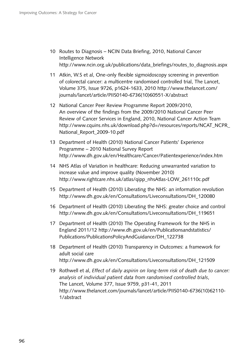- 10 Routes to Diagnosis NCIN Data Briefing, 2010, National Cancer Intelligence Network http://www.ncin.org.uk/publications/data\_briefings/routes\_to\_diagnosis.aspx
- 11 Atkin, W.S et al, One-only flexible sigmoidoscopy screening in prevention of colorectal cancer: a multicentre randomised controlled trial, The Lancet, Volume 375, Issue 9726, p1624-1633, 2010 http://www.thelancet.com/ journals/lancet/article/PIIS0140-6736(10)60551-X/abstract
- 12 National Cancer Peer Review Programme Report 2009/2010, An overview of the findings from the 2009/2010 National Cancer Peer Review of Cancer Services in England, 2010, National Cancer Action Team http://www.cquins.nhs.uk/download.php?d=/resources/reports/NCAT\_NCPR\_ National\_Report\_2009-10.pdf
- 13 Department of Health (2010) National Cancer Patients' Experience Programme – 2010 National Survey Report http://www.dh.gov.uk/en/Healthcare/Cancer/Patientexperience/index.htm
- 14 NHS Atlas of Variation in healthcare: Reducing unwarranted variation to increase value and improve quality (November 2010) http://www.rightcare.nhs.uk/atlas/qipp\_nhsAtlas-LOW\_261110c.pdf
- 15 Department of Health (2010) Liberating the NHS: an information revolution http://www.dh.gov.uk/en/Consultations/Liveconsultations/DH\_120080
- 16 Department of Health (2010) Liberating the NHS: greater choice and control http://www.dh.gov.uk/en/Consultations/Liveconsultations/DH\_119651
- 17 Department of Health (2010) The Operating Framework for the NHS in England 2011/12 http://www.dh.gov.uk/en/Publicationsandstatistics/ Publications/PublicationsPolicyAndGuidance/DH\_122738
- 18 Department of Health (2010) Transparency in Outcomes: a framework for adult social care http://www.dh.gov.uk/en/Consultations/Liveconsultations/DH\_121509
- 19 Rothwell et al, *Effect of daily aspirin on long-term risk of death due to cancer: analysis of individual patient data from randomised controlled trials*, The Lancet, Volume 377, Issue 9759, p31-41, 2011 http://www.thelancet.com/journals/lancet/article/PIIS0140-6736(10)62110- 1/abstract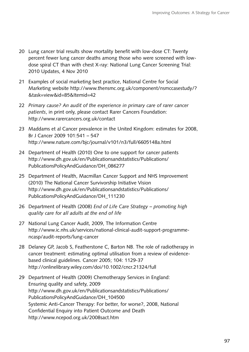- 20 Lung cancer trial results show mortality benefit with low-dose CT: Twenty percent fewer lung cancer deaths among those who were screened with lowdose spiral CT than with chest X-ray: National Lung Cancer Screening Trial: 2010 Updates, 4 Nov 2010
- 21 Examples of social marketing best practice, National Centre for Social Marketing website http://www.thensmc.org.uk/component/nsmccasestudy/? &task=view&id=85&Itemid=42
- 22 Primary cause? An audit of the experience in primary care of rarer cancer *patients*, in print only, please contact Rarer Cancers Foundation: http://www.rarercancers.org.uk/contact
- 23 Maddams et al Cancer prevalence in the United Kingdom: estimates for 2008, Br J Cancer 2009 101:541 – 547 http://www.nature.com/bjc/journal/v101/n3/full/6605148a.html
- 24 Department of Health (2010) One to one support for cancer patients http://www.dh.gov.uk/en/Publicationsandstatistics/Publications/ PublicationsPolicyAndGuidance/DH\_086277
- 25 Department of Health, Macmillan Cancer Support and NHS Improvement (2010) The National Cancer Survivorship Initiative Vision http://www.dh.gov.uk/en/Publicationsandstatistics/Publications/ PublicationsPolicyAndGuidance/DH\_111230
- 26 � Department of Health (2008) *End of Life Care Strategy promoting high quality care for all adults at the end of life*
- 27 National Lung Cancer Audit, 2009, The Information Centre http://www.ic.nhs.uk/services/national-clinical-audit-support-programmencasp/audit-reports/lung-cancer
- 28 Delaney GP, Jacob S, Featherstone C, Barton NB. The role of radiotherapy in cancer treatment: estimating optimal utilisation from a review of evidencebased clinical guidelines. Cancer 2005; 104: 1129-37 http://onlinelibrary.wiley.com/doi/10.1002/cncr.21324/full
- 29 Department of Health (2009) Chemotherapy Services in England: Ensuring quality and safety, 2009 http://www.dh.gov.uk/en/Publicationsandstatistics/Publications/ PublicationsPolicyAndGuidance/DH\_104500 Systemic Anti-Cancer Therapy: For better, for worse?, 2008, National Confidential Enquiry into Patient Outcome and Death http://www.ncepod.org.uk/2008sact.htm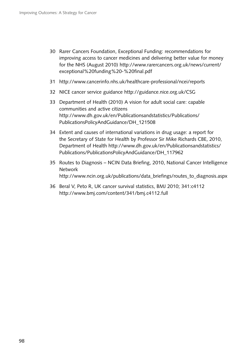- 30 Rarer Cancers Foundation, Exceptional Funding: recommendations for improving access to cancer medicines and delivering better value for money for the NHS (August 2010) http://www.rarercancers.org.uk/news/current/ exceptional%20funding%20-%20final.pdf
- 31 http://www.cancerinfo.nhs.uk/healthcare-professional/ncei/reports
- 32 NICE cancer service guidance http://guidance.nice.org.uk/CSG
- 33 Department of Health (2010) A vision for adult social care: capable communities and active citizens http://www.dh.gov.uk/en/Publicationsandstatistics/Publications/ PublicationsPolicyAndGuidance/DH\_121508
- 34 Extent and causes of international variations in drug usage: a report for the Secretary of State for Health by Professor Sir Mike Richards CBE, 2010, Department of Health http://www.dh.gov.uk/en/Publicationsandstatistics/ Publications/PublicationsPolicyAndGuidance/DH\_117962
- 35 Routes to Diagnosis NCIN Data Briefing, 2010, National Cancer Intelligence Network http://www.ncin.org.uk/publications/data\_briefings/routes\_to\_diagnosis.aspx
- 36 Beral V, Peto R, UK cancer survival statistics, BMJ 2010; 341:c4112 http://www.bmj.com/content/341/bmj.c4112.full